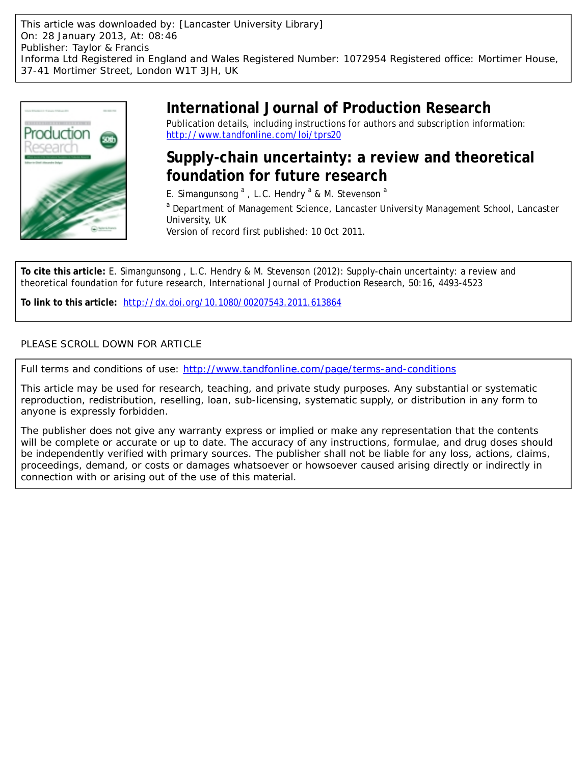This article was downloaded by: [Lancaster University Library] On: 28 January 2013, At: 08:46 Publisher: Taylor & Francis Informa Ltd Registered in England and Wales Registered Number: 1072954 Registered office: Mortimer House, 37-41 Mortimer Street, London W1T 3JH, UK



# **International Journal of Production Research**

Publication details, including instructions for authors and subscription information: <http://www.tandfonline.com/loi/tprs20>

# **Supply-chain uncertainty: a review and theoretical foundation for future research**

E. Simangunsong <sup>a</sup>, L.C. Hendry <sup>a</sup> & M. Stevenson <sup>a</sup>

<sup>a</sup> Department of Management Science, Lancaster University Management School, Lancaster University, UK

Version of record first published: 10 Oct 2011.

**To cite this article:** E. Simangunsong , L.C. Hendry & M. Stevenson (2012): Supply-chain uncertainty: a review and theoretical foundation for future research, International Journal of Production Research, 50:16, 4493-4523

**To link to this article:** <http://dx.doi.org/10.1080/00207543.2011.613864>

# PLEASE SCROLL DOWN FOR ARTICLE

Full terms and conditions of use:<http://www.tandfonline.com/page/terms-and-conditions>

This article may be used for research, teaching, and private study purposes. Any substantial or systematic reproduction, redistribution, reselling, loan, sub-licensing, systematic supply, or distribution in any form to anyone is expressly forbidden.

The publisher does not give any warranty express or implied or make any representation that the contents will be complete or accurate or up to date. The accuracy of any instructions, formulae, and drug doses should be independently verified with primary sources. The publisher shall not be liable for any loss, actions, claims, proceedings, demand, or costs or damages whatsoever or howsoever caused arising directly or indirectly in connection with or arising out of the use of this material.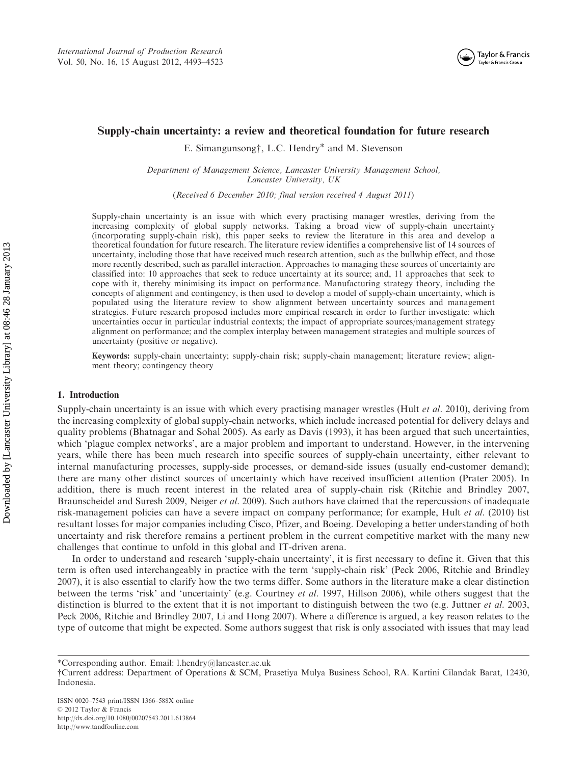

# Supply-chain uncertainty: a review and theoretical foundation for future research

E. Simangunsong†, L.C. Hendry<sup>\*</sup> and M. Stevenson

Department of Management Science, Lancaster University Management School, Lancaster University, UK

(Received 6 December 2010; final version received 4 August 2011)

Supply-chain uncertainty is an issue with which every practising manager wrestles, deriving from the increasing complexity of global supply networks. Taking a broad view of supply-chain uncertainty (incorporating supply-chain risk), this paper seeks to review the literature in this area and develop a theoretical foundation for future research. The literature review identifies a comprehensive list of 14 sources of uncertainty, including those that have received much research attention, such as the bullwhip effect, and those more recently described, such as parallel interaction. Approaches to managing these sources of uncertainty are classified into: 10 approaches that seek to reduce uncertainty at its source; and, 11 approaches that seek to cope with it, thereby minimising its impact on performance. Manufacturing strategy theory, including the concepts of alignment and contingency, is then used to develop a model of supply-chain uncertainty, which is populated using the literature review to show alignment between uncertainty sources and management strategies. Future research proposed includes more empirical research in order to further investigate: which uncertainties occur in particular industrial contexts; the impact of appropriate sources/management strategy alignment on performance; and the complex interplay between management strategies and multiple sources of uncertainty (positive or negative).

Keywords: supply-chain uncertainty; supply-chain risk; supply-chain management; literature review; alignment theory; contingency theory

# 1. Introduction

Supply-chain uncertainty is an issue with which every practising manager wrestles (Hult et al. 2010), deriving from the increasing complexity of global supply-chain networks, which include increased potential for delivery delays and quality problems (Bhatnagar and Sohal 2005). As early as Davis (1993), it has been argued that such uncertainties, which 'plague complex networks', are a major problem and important to understand. However, in the intervening years, while there has been much research into specific sources of supply-chain uncertainty, either relevant to internal manufacturing processes, supply-side processes, or demand-side issues (usually end-customer demand); there are many other distinct sources of uncertainty which have received insufficient attention (Prater 2005). In addition, there is much recent interest in the related area of supply-chain risk (Ritchie and Brindley 2007, Braunscheidel and Suresh 2009, Neiger *et al.* 2009). Such authors have claimed that the repercussions of inadequate risk-management policies can have a severe impact on company performance; for example, Hult et al. (2010) list resultant losses for major companies including Cisco, Pfizer, and Boeing. Developing a better understanding of both uncertainty and risk therefore remains a pertinent problem in the current competitive market with the many new challenges that continue to unfold in this global and IT-driven arena.

In order to understand and research 'supply-chain uncertainty', it is first necessary to define it. Given that this term is often used interchangeably in practice with the term 'supply-chain risk' (Peck 2006, Ritchie and Brindley 2007), it is also essential to clarify how the two terms differ. Some authors in the literature make a clear distinction between the terms 'risk' and 'uncertainty' (e.g. Courtney et al. 1997, Hillson 2006), while others suggest that the distinction is blurred to the extent that it is not important to distinguish between the two (e.g. Juttner *et al.* 2003, Peck 2006, Ritchie and Brindley 2007, Li and Hong 2007). Where a difference is argued, a key reason relates to the type of outcome that might be expected. Some authors suggest that risk is only associated with issues that may lead

<sup>\*</sup>Corresponding author. Email: l.hendry@lancaster.ac.uk

yCurrent address: Department of Operations & SCM, Prasetiya Mulya Business School, RA. Kartini Cilandak Barat, 12430, Indonesia.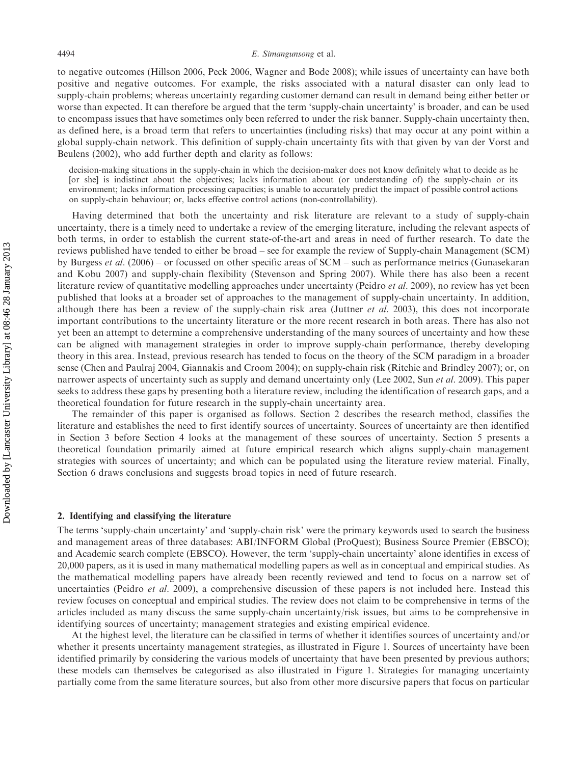# 4494 E. Simangunsong et al.

to negative outcomes (Hillson 2006, Peck 2006, Wagner and Bode 2008); while issues of uncertainty can have both positive and negative outcomes. For example, the risks associated with a natural disaster can only lead to supply-chain problems; whereas uncertainty regarding customer demand can result in demand being either better or worse than expected. It can therefore be argued that the term 'supply-chain uncertainty' is broader, and can be used to encompass issues that have sometimes only been referred to under the risk banner. Supply-chain uncertainty then, as defined here, is a broad term that refers to uncertainties (including risks) that may occur at any point within a global supply-chain network. This definition of supply-chain uncertainty fits with that given by van der Vorst and Beulens (2002), who add further depth and clarity as follows:

decision-making situations in the supply-chain in which the decision-maker does not know definitely what to decide as he [or she] is indistinct about the objectives; lacks information about (or understanding of) the supply-chain or its environment; lacks information processing capacities; is unable to accurately predict the impact of possible control actions on supply-chain behaviour; or, lacks effective control actions (non-controllability).

Having determined that both the uncertainty and risk literature are relevant to a study of supply-chain uncertainty, there is a timely need to undertake a review of the emerging literature, including the relevant aspects of both terms, in order to establish the current state-of-the-art and areas in need of further research. To date the reviews published have tended to either be broad – see for example the review of Supply-chain Management (SCM) by Burgess et al. (2006) – or focussed on other specific areas of SCM – such as performance metrics (Gunasekaran and Kobu 2007) and supply-chain flexibility (Stevenson and Spring 2007). While there has also been a recent literature review of quantitative modelling approaches under uncertainty (Peidro et al. 2009), no review has yet been published that looks at a broader set of approaches to the management of supply-chain uncertainty. In addition, although there has been a review of the supply-chain risk area (Juttner *et al.* 2003), this does not incorporate important contributions to the uncertainty literature or the more recent research in both areas. There has also not yet been an attempt to determine a comprehensive understanding of the many sources of uncertainty and how these can be aligned with management strategies in order to improve supply-chain performance, thereby developing theory in this area. Instead, previous research has tended to focus on the theory of the SCM paradigm in a broader sense (Chen and Paulraj 2004, Giannakis and Croom 2004); on supply-chain risk (Ritchie and Brindley 2007); or, on narrower aspects of uncertainty such as supply and demand uncertainty only (Lee 2002, Sun *et al.* 2009). This paper seeks to address these gaps by presenting both a literature review, including the identification of research gaps, and a theoretical foundation for future research in the supply-chain uncertainty area.

The remainder of this paper is organised as follows. Section 2 describes the research method, classifies the literature and establishes the need to first identify sources of uncertainty. Sources of uncertainty are then identified in Section 3 before Section 4 looks at the management of these sources of uncertainty. Section 5 presents a theoretical foundation primarily aimed at future empirical research which aligns supply-chain management strategies with sources of uncertainty; and which can be populated using the literature review material. Finally, Section 6 draws conclusions and suggests broad topics in need of future research.

# 2. Identifying and classifying the literature

The terms 'supply-chain uncertainty' and 'supply-chain risk' were the primary keywords used to search the business and management areas of three databases: ABI/INFORM Global (ProQuest); Business Source Premier (EBSCO); and Academic search complete (EBSCO). However, the term 'supply-chain uncertainty' alone identifies in excess of 20,000 papers, as it is used in many mathematical modelling papers as well as in conceptual and empirical studies. As the mathematical modelling papers have already been recently reviewed and tend to focus on a narrow set of uncertainties (Peidro *et al.* 2009), a comprehensive discussion of these papers is not included here. Instead this review focuses on conceptual and empirical studies. The review does not claim to be comprehensive in terms of the articles included as many discuss the same supply-chain uncertainty/risk issues, but aims to be comprehensive in identifying sources of uncertainty; management strategies and existing empirical evidence.

At the highest level, the literature can be classified in terms of whether it identifies sources of uncertainty and/or whether it presents uncertainty management strategies, as illustrated in Figure 1. Sources of uncertainty have been identified primarily by considering the various models of uncertainty that have been presented by previous authors; these models can themselves be categorised as also illustrated in Figure 1. Strategies for managing uncertainty partially come from the same literature sources, but also from other more discursive papers that focus on particular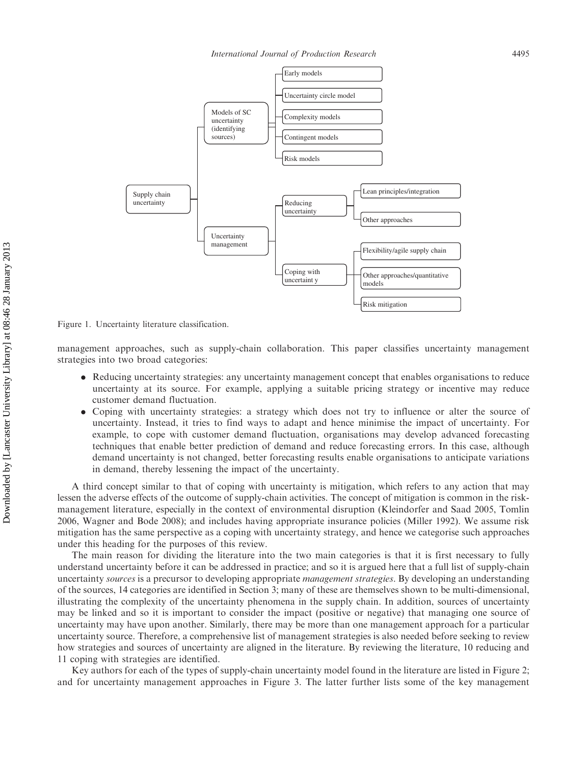

Figure 1. Uncertainty literature classification.

management approaches, such as supply-chain collaboration. This paper classifies uncertainty management strategies into two broad categories:

- . Reducing uncertainty strategies: any uncertainty management concept that enables organisations to reduce uncertainty at its source. For example, applying a suitable pricing strategy or incentive may reduce customer demand fluctuation.
- . Coping with uncertainty strategies: a strategy which does not try to influence or alter the source of uncertainty. Instead, it tries to find ways to adapt and hence minimise the impact of uncertainty. For example, to cope with customer demand fluctuation, organisations may develop advanced forecasting techniques that enable better prediction of demand and reduce forecasting errors. In this case, although demand uncertainty is not changed, better forecasting results enable organisations to anticipate variations in demand, thereby lessening the impact of the uncertainty.

A third concept similar to that of coping with uncertainty is mitigation, which refers to any action that may lessen the adverse effects of the outcome of supply-chain activities. The concept of mitigation is common in the riskmanagement literature, especially in the context of environmental disruption (Kleindorfer and Saad 2005, Tomlin 2006, Wagner and Bode 2008); and includes having appropriate insurance policies (Miller 1992). We assume risk mitigation has the same perspective as a coping with uncertainty strategy, and hence we categorise such approaches under this heading for the purposes of this review.

The main reason for dividing the literature into the two main categories is that it is first necessary to fully understand uncertainty before it can be addressed in practice; and so it is argued here that a full list of supply-chain uncertainty sources is a precursor to developing appropriate management strategies. By developing an understanding of the sources, 14 categories are identified in Section 3; many of these are themselves shown to be multi-dimensional, illustrating the complexity of the uncertainty phenomena in the supply chain. In addition, sources of uncertainty may be linked and so it is important to consider the impact (positive or negative) that managing one source of uncertainty may have upon another. Similarly, there may be more than one management approach for a particular uncertainty source. Therefore, a comprehensive list of management strategies is also needed before seeking to review how strategies and sources of uncertainty are aligned in the literature. By reviewing the literature, 10 reducing and 11 coping with strategies are identified.

Key authors for each of the types of supply-chain uncertainty model found in the literature are listed in Figure 2; and for uncertainty management approaches in Figure 3. The latter further lists some of the key management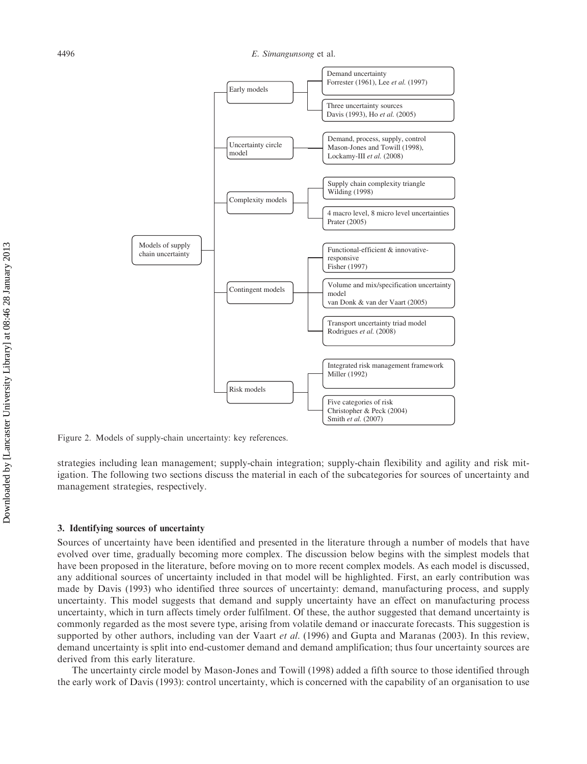

Figure 2. Models of supply-chain uncertainty: key references.

strategies including lean management; supply-chain integration; supply-chain flexibility and agility and risk mitigation. The following two sections discuss the material in each of the subcategories for sources of uncertainty and management strategies, respectively.

# 3. Identifying sources of uncertainty

Sources of uncertainty have been identified and presented in the literature through a number of models that have evolved over time, gradually becoming more complex. The discussion below begins with the simplest models that have been proposed in the literature, before moving on to more recent complex models. As each model is discussed, any additional sources of uncertainty included in that model will be highlighted. First, an early contribution was made by Davis (1993) who identified three sources of uncertainty: demand, manufacturing process, and supply uncertainty. This model suggests that demand and supply uncertainty have an effect on manufacturing process uncertainty, which in turn affects timely order fulfilment. Of these, the author suggested that demand uncertainty is commonly regarded as the most severe type, arising from volatile demand or inaccurate forecasts. This suggestion is supported by other authors, including van der Vaart et al. (1996) and Gupta and Maranas (2003). In this review, demand uncertainty is split into end-customer demand and demand amplification; thus four uncertainty sources are derived from this early literature.

The uncertainty circle model by Mason-Jones and Towill (1998) added a fifth source to those identified through the early work of Davis (1993): control uncertainty, which is concerned with the capability of an organisation to use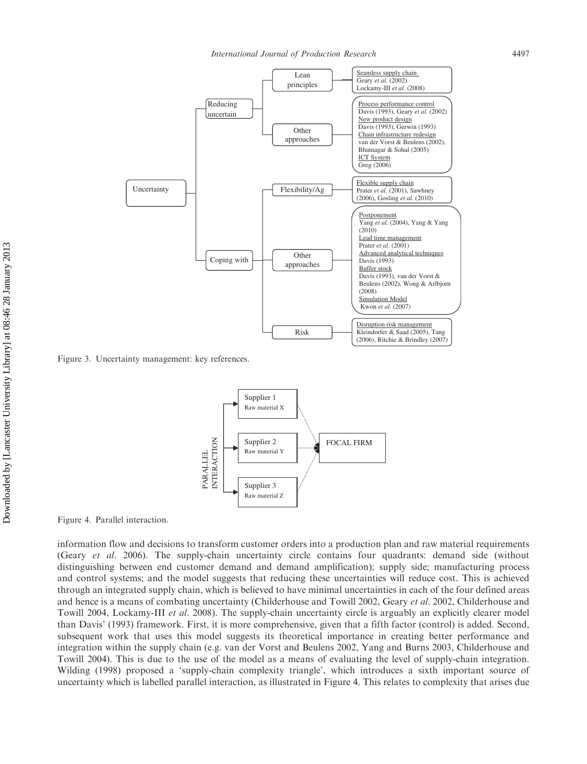

Figure 3. Uncertainty management: key references.



Figure 4. Parallel interaction.

information flow and decisions to transform customer orders into a production plan and raw material requirements (Geary et al. 2006). The supply-chain uncertainty circle contains four quadrants: demand side (without distinguishing between end customer demand and demand amplification); supply side; manufacturing process and control systems; and the model suggests that reducing these uncertainties will reduce cost. This is achieved through an integrated supply chain, which is believed to have minimal uncertainties in each of the four defined areas and hence is a means of combating uncertainty (Childerhouse and Towill 2002, Geary et al. 2002, Childerhouse and Towill 2004, Lockamy-III et al. 2008). The supply-chain uncertainty circle is arguably an explicitly clearer model than Davis' (1993) framework. First, it is more comprehensive, given that a fifth factor (control) is added. Second, subsequent work that uses this model suggests its theoretical importance in creating better performance and integration within the supply chain (e.g. van der Vorst and Beulens 2002, Yang and Burns 2003, Childerhouse and Towill 2004). This is due to the use of the model as a means of evaluating the level of supply-chain integration. Wilding (1998) proposed a 'supply-chain complexity triangle', which introduces a sixth important source of uncertainty which is labelled parallel interaction, as illustrated in Figure 4. This relates to complexity that arises due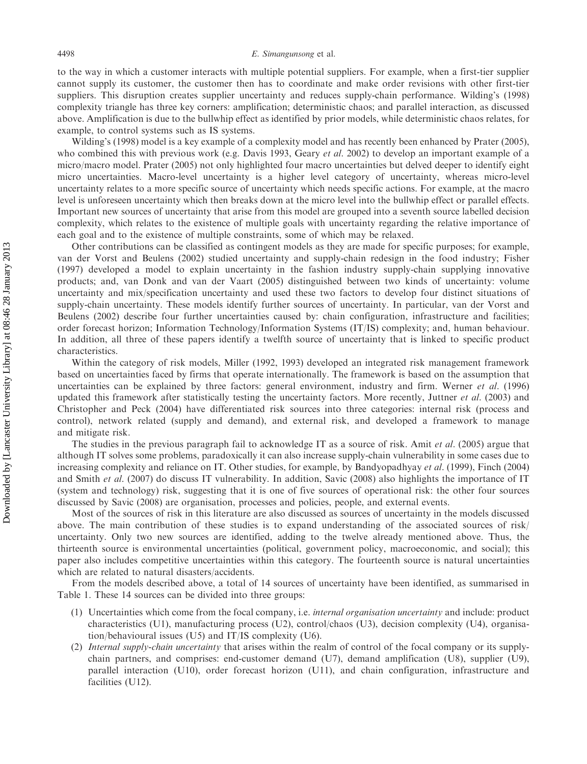## 4498 E. Simangunsong et al.

to the way in which a customer interacts with multiple potential suppliers. For example, when a first-tier supplier cannot supply its customer, the customer then has to coordinate and make order revisions with other first-tier suppliers. This disruption creates supplier uncertainty and reduces supply-chain performance. Wilding's (1998) complexity triangle has three key corners: amplification; deterministic chaos; and parallel interaction, as discussed above. Amplification is due to the bullwhip effect as identified by prior models, while deterministic chaos relates, for example, to control systems such as IS systems.

Wilding's (1998) model is a key example of a complexity model and has recently been enhanced by Prater (2005), who combined this with previous work (e.g. Davis 1993, Geary *et al.* 2002) to develop an important example of a micro/macro model. Prater (2005) not only highlighted four macro uncertainties but delved deeper to identify eight micro uncertainties. Macro-level uncertainty is a higher level category of uncertainty, whereas micro-level uncertainty relates to a more specific source of uncertainty which needs specific actions. For example, at the macro level is unforeseen uncertainty which then breaks down at the micro level into the bullwhip effect or parallel effects. Important new sources of uncertainty that arise from this model are grouped into a seventh source labelled decision complexity, which relates to the existence of multiple goals with uncertainty regarding the relative importance of each goal and to the existence of multiple constraints, some of which may be relaxed.

Other contributions can be classified as contingent models as they are made for specific purposes; for example, van der Vorst and Beulens (2002) studied uncertainty and supply-chain redesign in the food industry; Fisher (1997) developed a model to explain uncertainty in the fashion industry supply-chain supplying innovative products; and, van Donk and van der Vaart (2005) distinguished between two kinds of uncertainty: volume uncertainty and mix/specification uncertainty and used these two factors to develop four distinct situations of supply-chain uncertainty. These models identify further sources of uncertainty. In particular, van der Vorst and Beulens (2002) describe four further uncertainties caused by: chain configuration, infrastructure and facilities; order forecast horizon; Information Technology/Information Systems (IT/IS) complexity; and, human behaviour. In addition, all three of these papers identify a twelfth source of uncertainty that is linked to specific product characteristics.

Within the category of risk models, Miller (1992, 1993) developed an integrated risk management framework based on uncertainties faced by firms that operate internationally. The framework is based on the assumption that uncertainties can be explained by three factors: general environment, industry and firm. Werner et al. (1996) updated this framework after statistically testing the uncertainty factors. More recently, Juttner et al. (2003) and Christopher and Peck (2004) have differentiated risk sources into three categories: internal risk (process and control), network related (supply and demand), and external risk, and developed a framework to manage and mitigate risk.

The studies in the previous paragraph fail to acknowledge IT as a source of risk. Amit *et al.* (2005) argue that although IT solves some problems, paradoxically it can also increase supply-chain vulnerability in some cases due to increasing complexity and reliance on IT. Other studies, for example, by Bandyopadhyay et al. (1999), Finch (2004) and Smith et al. (2007) do discuss IT vulnerability. In addition, Savic (2008) also highlights the importance of IT (system and technology) risk, suggesting that it is one of five sources of operational risk: the other four sources discussed by Savic (2008) are organisation, processes and policies, people, and external events.

Most of the sources of risk in this literature are also discussed as sources of uncertainty in the models discussed above. The main contribution of these studies is to expand understanding of the associated sources of risk/ uncertainty. Only two new sources are identified, adding to the twelve already mentioned above. Thus, the thirteenth source is environmental uncertainties (political, government policy, macroeconomic, and social); this paper also includes competitive uncertainties within this category. The fourteenth source is natural uncertainties which are related to natural disasters/accidents.

From the models described above, a total of 14 sources of uncertainty have been identified, as summarised in Table 1. These 14 sources can be divided into three groups:

- (1) Uncertainties which come from the focal company, i.e. internal organisation uncertainty and include: product characteristics (U1), manufacturing process (U2), control/chaos (U3), decision complexity (U4), organisation/behavioural issues (U5) and IT/IS complexity (U6).
- (2) Internal supply-chain uncertainty that arises within the realm of control of the focal company or its supplychain partners, and comprises: end-customer demand (U7), demand amplification (U8), supplier (U9), parallel interaction (U10), order forecast horizon (U11), and chain configuration, infrastructure and facilities (U12).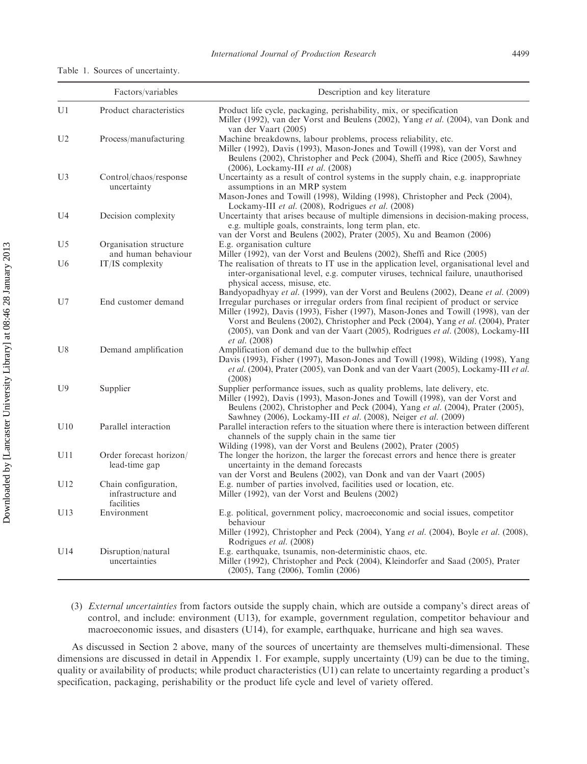| Table 1. Sources of uncertainty. |
|----------------------------------|
|----------------------------------|

|                | Factors/variables                                        | Description and key literature                                                                                                                                                                                                                                                                                                                                           |
|----------------|----------------------------------------------------------|--------------------------------------------------------------------------------------------------------------------------------------------------------------------------------------------------------------------------------------------------------------------------------------------------------------------------------------------------------------------------|
| U1.            | Product characteristics                                  | Product life cycle, packaging, perishability, mix, or specification<br>Miller (1992), van der Vorst and Beulens (2002), Yang et al. (2004), van Donk and<br>van der Vaart (2005)                                                                                                                                                                                         |
| U <sub>2</sub> | Process/manufacturing                                    | Machine breakdowns, labour problems, process reliability, etc.<br>Miller (1992), Davis (1993), Mason-Jones and Towill (1998), van der Vorst and<br>Beulens (2002), Christopher and Peck (2004), Sheffi and Rice (2005), Sawhney<br>(2006), Lockamy-III et al. (2008)                                                                                                     |
| U3             | Control/chaos/response<br>uncertainty                    | Uncertainty as a result of control systems in the supply chain, e.g. inappropriate<br>assumptions in an MRP system<br>Mason-Jones and Towill (1998), Wilding (1998), Christopher and Peck (2004),<br>Lockamy-III et al. (2008), Rodrigues et al. (2008)                                                                                                                  |
| U4             | Decision complexity                                      | Uncertainty that arises because of multiple dimensions in decision-making process,<br>e.g. multiple goals, constraints, long term plan, etc.<br>van der Vorst and Beulens (2002), Prater (2005), Xu and Beamon (2006)                                                                                                                                                    |
| U5             | Organisation structure<br>and human behaviour            | E.g. organisation culture<br>Miller (1992), van der Vorst and Beulens (2002), Sheffi and Rice (2005)                                                                                                                                                                                                                                                                     |
| U6             | IT/IS complexity                                         | The realisation of threats to IT use in the application level, organisational level and<br>inter-organisational level, e.g. computer viruses, technical failure, unauthorised<br>physical access, misuse, etc.<br>Bandyopadhyay et al. (1999), van der Vorst and Beulens (2002), Deane et al. (2009)                                                                     |
| U7             | End customer demand                                      | Irregular purchases or irregular orders from final recipient of product or service<br>Miller (1992), Davis (1993), Fisher (1997), Mason-Jones and Towill (1998), van der<br>Vorst and Beulens (2002), Christopher and Peck (2004), Yang et al. (2004), Prater<br>(2005), van Donk and van der Vaart (2005), Rodrigues et al. (2008), Lockamy-III<br><i>et al.</i> (2008) |
| U8             | Demand amplification                                     | Amplification of demand due to the bullwhip effect<br>Davis (1993), Fisher (1997), Mason-Jones and Towill (1998), Wilding (1998), Yang<br>et al. (2004), Prater (2005), van Donk and van der Vaart (2005), Lockamy-III et al.<br>(2008)                                                                                                                                  |
| U9             | Supplier                                                 | Supplier performance issues, such as quality problems, late delivery, etc.<br>Miller (1992), Davis (1993), Mason-Jones and Towill (1998), van der Vorst and<br>Beulens (2002), Christopher and Peck (2004), Yang et al. (2004), Prater (2005),<br>Sawhney (2006), Lockamy-III et al. (2008), Neiger et al. (2009)                                                        |
| U10            | Parallel interaction                                     | Parallel interaction refers to the situation where there is interaction between different<br>channels of the supply chain in the same tier<br>Wilding (1998), van der Vorst and Beulens (2002), Prater (2005)                                                                                                                                                            |
| U11            | Order forecast horizon/<br>lead-time gap                 | The longer the horizon, the larger the forecast errors and hence there is greater<br>uncertainty in the demand forecasts<br>van der Vorst and Beulens (2002), van Donk and van der Vaart (2005)                                                                                                                                                                          |
| U12            | Chain configuration,<br>infrastructure and<br>facilities | E.g. number of parties involved, facilities used or location, etc.<br>Miller (1992), van der Vorst and Beulens (2002)                                                                                                                                                                                                                                                    |
| U13            | Environment                                              | E.g. political, government policy, macroeconomic and social issues, competitor<br>behaviour<br>Miller (1992), Christopher and Peck (2004), Yang et al. (2004), Boyle et al. (2008),<br>Rodrigues et al. (2008)                                                                                                                                                           |
| U14            | Disruption/natural<br>uncertainties                      | E.g. earthquake, tsunamis, non-deterministic chaos, etc.<br>Miller (1992), Christopher and Peck (2004), Kleindorfer and Saad (2005), Prater<br>(2005), Tang (2006), Tomlin (2006)                                                                                                                                                                                        |

(3) External uncertainties from factors outside the supply chain, which are outside a company's direct areas of control, and include: environment (U13), for example, government regulation, competitor behaviour and macroeconomic issues, and disasters (U14), for example, earthquake, hurricane and high sea waves.

As discussed in Section 2 above, many of the sources of uncertainty are themselves multi-dimensional. These dimensions are discussed in detail in Appendix 1. For example, supply uncertainty (U9) can be due to the timing, quality or availability of products; while product characteristics (U1) can relate to uncertainty regarding a product's specification, packaging, perishability or the product life cycle and level of variety offered.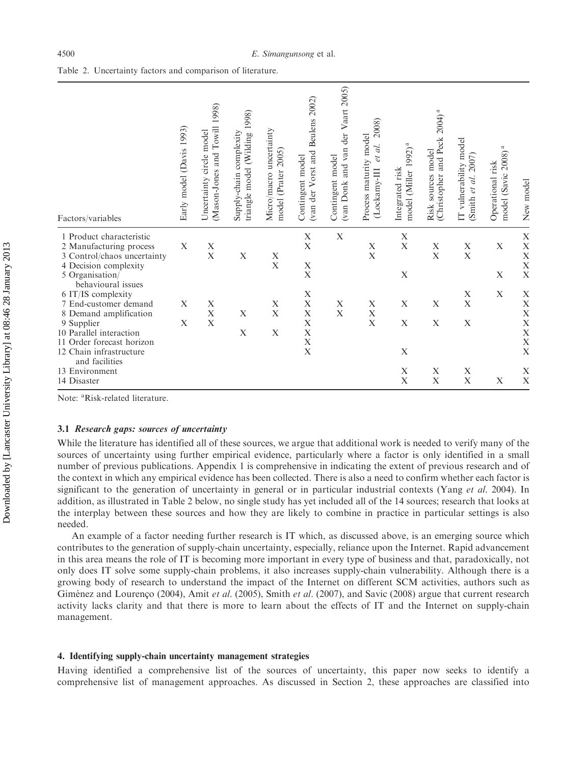| Factors/variables                                                                                                                                                                            | Early model (Davis 1993) | 1998)<br>Towill<br>circle model<br>(Mason-Jones and<br>Uncertainty | triangle model (Wilding 1998)<br>Supply-chain complexity | Micro/macro uncertainty<br>model (Prater 2005) | (van der Vorst and Beulens 2002)<br>Contingent model                  | der Vaart 2005)<br>(van Donk and van<br>Contingent model | 2008)<br>Process maturity model<br>d.<br>et<br>(Lockamy-III | $\boldsymbol{\pi}$<br>model (Miller 1992)<br>Integrated risk | (Christopher and Peck 2004) <sup>a</sup><br>model<br>sources<br>Risk | vulnerability model<br>2007)<br>d.<br>$\mathcal{C}$<br>(Smith<br>$\Box$ | $\overline{\phantom{a}}$<br>2008)<br>Operational risk<br>model (Savic | New model                                                             |
|----------------------------------------------------------------------------------------------------------------------------------------------------------------------------------------------|--------------------------|--------------------------------------------------------------------|----------------------------------------------------------|------------------------------------------------|-----------------------------------------------------------------------|----------------------------------------------------------|-------------------------------------------------------------|--------------------------------------------------------------|----------------------------------------------------------------------|-------------------------------------------------------------------------|-----------------------------------------------------------------------|-----------------------------------------------------------------------|
| 1 Product characteristic<br>2 Manufacturing process<br>3 Control/chaos uncertainty<br>4 Decision complexity<br>5 Organisation/                                                               | X                        | $\mathbf X$<br>$\bar{X}$                                           | $\mathbf X$                                              | $\mathbf X$<br>$\bar{X}$                       | $\mathbf X$<br>$\bar{X}$<br>X<br>$\bf{X}$                             | X                                                        | $\boldsymbol{X}$<br>$\bar{X}$                               | X<br>$\mathbf X$<br>X                                        | X<br>$\bar{X}$                                                       | X<br>X                                                                  | $\mathbf X$<br>X                                                      | X<br>X<br>$\frac{X}{X}$<br>X                                          |
| behavioural issues<br>6 IT/IS complexity<br>7 End-customer demand<br>8 Demand amplification<br>9 Supplier<br>10 Parallel interaction<br>11 Order forecast horizon<br>12 Chain infrastructure | X<br>X                   | X<br>X<br>$\bar{X}$                                                | $\mathbf X$<br>$\mathbf X$                               | $\mathbf X$<br>$\bar{X}$<br>$\mathbf X$        | X<br>$\mathbf X$<br>$\mathbf X$<br>X<br>X<br>$\mathbf X$<br>$\bar{X}$ | $\mathbf X$<br>$\bar{X}$                                 | $\mathbf X$<br>X<br>$\bar{X}$                               | $\boldsymbol{\mathrm{X}}$<br>X<br>X                          | X<br>X                                                               | X<br>X<br>X                                                             | $\mathbf X$                                                           | X<br>X<br>$\begin{array}{c}\nX\\ X\\ X\n\end{array}$<br>$\frac{X}{X}$ |
| and facilities<br>13 Environment<br>14 Disaster                                                                                                                                              |                          |                                                                    |                                                          |                                                |                                                                       |                                                          |                                                             | X<br>X                                                       | X<br>$\bar{X}$                                                       | X<br>X                                                                  | $\mathbf X$                                                           | X<br>X                                                                |

Note: <sup>a</sup>Risk-related literature.

# 3.1 Research gaps: sources of uncertainty

Table 2. Uncertainty factors and comparison of literature.

While the literature has identified all of these sources, we argue that additional work is needed to verify many of the sources of uncertainty using further empirical evidence, particularly where a factor is only identified in a small number of previous publications. Appendix 1 is comprehensive in indicating the extent of previous research and of the context in which any empirical evidence has been collected. There is also a need to confirm whether each factor is significant to the generation of uncertainty in general or in particular industrial contexts (Yang *et al.* 2004). In addition, as illustrated in Table 2 below, no single study has yet included all of the 14 sources; research that looks at the interplay between these sources and how they are likely to combine in practice in particular settings is also needed.

An example of a factor needing further research is IT which, as discussed above, is an emerging source which contributes to the generation of supply-chain uncertainty, especially, reliance upon the Internet. Rapid advancement in this area means the role of IT is becoming more important in every type of business and that, paradoxically, not only does IT solve some supply-chain problems, it also increases supply-chain vulnerability. Although there is a growing body of research to understand the impact of the Internet on different SCM activities, authors such as Giménez and Lourenço (2004), Amit et al. (2005), Smith et al. (2007), and Savic (2008) argue that current research activity lacks clarity and that there is more to learn about the effects of IT and the Internet on supply-chain management.

#### 4. Identifying supply-chain uncertainty management strategies

Having identified a comprehensive list of the sources of uncertainty, this paper now seeks to identify a comprehensive list of management approaches. As discussed in Section 2, these approaches are classified into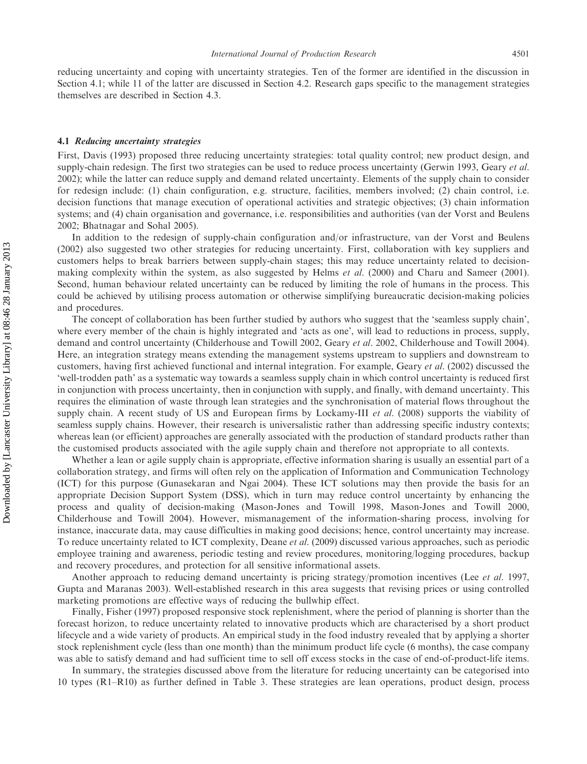reducing uncertainty and coping with uncertainty strategies. Ten of the former are identified in the discussion in Section 4.1; while 11 of the latter are discussed in Section 4.2. Research gaps specific to the management strategies themselves are described in Section 4.3.

#### 4.1 Reducing uncertainty strategies

First, Davis (1993) proposed three reducing uncertainty strategies: total quality control; new product design, and supply-chain redesign. The first two strategies can be used to reduce process uncertainty (Gerwin 1993, Geary et al. 2002); while the latter can reduce supply and demand related uncertainty. Elements of the supply chain to consider for redesign include: (1) chain configuration, e.g. structure, facilities, members involved; (2) chain control, i.e. decision functions that manage execution of operational activities and strategic objectives; (3) chain information systems; and (4) chain organisation and governance, i.e. responsibilities and authorities (van der Vorst and Beulens 2002; Bhatnagar and Sohal 2005).

In addition to the redesign of supply-chain configuration and/or infrastructure, van der Vorst and Beulens (2002) also suggested two other strategies for reducing uncertainty. First, collaboration with key suppliers and customers helps to break barriers between supply-chain stages; this may reduce uncertainty related to decisionmaking complexity within the system, as also suggested by Helms *et al.* (2000) and Charu and Sameer (2001). Second, human behaviour related uncertainty can be reduced by limiting the role of humans in the process. This could be achieved by utilising process automation or otherwise simplifying bureaucratic decision-making policies and procedures.

The concept of collaboration has been further studied by authors who suggest that the 'seamless supply chain', where every member of the chain is highly integrated and 'acts as one', will lead to reductions in process, supply, demand and control uncertainty (Childerhouse and Towill 2002, Geary et al. 2002, Childerhouse and Towill 2004). Here, an integration strategy means extending the management systems upstream to suppliers and downstream to customers, having first achieved functional and internal integration. For example, Geary et al. (2002) discussed the 'well-trodden path' as a systematic way towards a seamless supply chain in which control uncertainty is reduced first in conjunction with process uncertainty, then in conjunction with supply, and finally, with demand uncertainty. This requires the elimination of waste through lean strategies and the synchronisation of material flows throughout the supply chain. A recent study of US and European firms by Lockamy-III et al. (2008) supports the viability of seamless supply chains. However, their research is universalistic rather than addressing specific industry contexts; whereas lean (or efficient) approaches are generally associated with the production of standard products rather than the customised products associated with the agile supply chain and therefore not appropriate to all contexts.

Whether a lean or agile supply chain is appropriate, effective information sharing is usually an essential part of a collaboration strategy, and firms will often rely on the application of Information and Communication Technology (ICT) for this purpose (Gunasekaran and Ngai 2004). These ICT solutions may then provide the basis for an appropriate Decision Support System (DSS), which in turn may reduce control uncertainty by enhancing the process and quality of decision-making (Mason-Jones and Towill 1998, Mason-Jones and Towill 2000, Childerhouse and Towill 2004). However, mismanagement of the information-sharing process, involving for instance, inaccurate data, may cause difficulties in making good decisions; hence, control uncertainty may increase. To reduce uncertainty related to ICT complexity, Deane et al. (2009) discussed various approaches, such as periodic employee training and awareness, periodic testing and review procedures, monitoring/logging procedures, backup and recovery procedures, and protection for all sensitive informational assets.

Another approach to reducing demand uncertainty is pricing strategy/promotion incentives (Lee *et al.* 1997, Gupta and Maranas 2003). Well-established research in this area suggests that revising prices or using controlled marketing promotions are effective ways of reducing the bullwhip effect.

Finally, Fisher (1997) proposed responsive stock replenishment, where the period of planning is shorter than the forecast horizon, to reduce uncertainty related to innovative products which are characterised by a short product lifecycle and a wide variety of products. An empirical study in the food industry revealed that by applying a shorter stock replenishment cycle (less than one month) than the minimum product life cycle (6 months), the case company was able to satisfy demand and had sufficient time to sell off excess stocks in the case of end-of-product-life items.

In summary, the strategies discussed above from the literature for reducing uncertainty can be categorised into 10 types (R1–R10) as further defined in Table 3. These strategies are lean operations, product design, process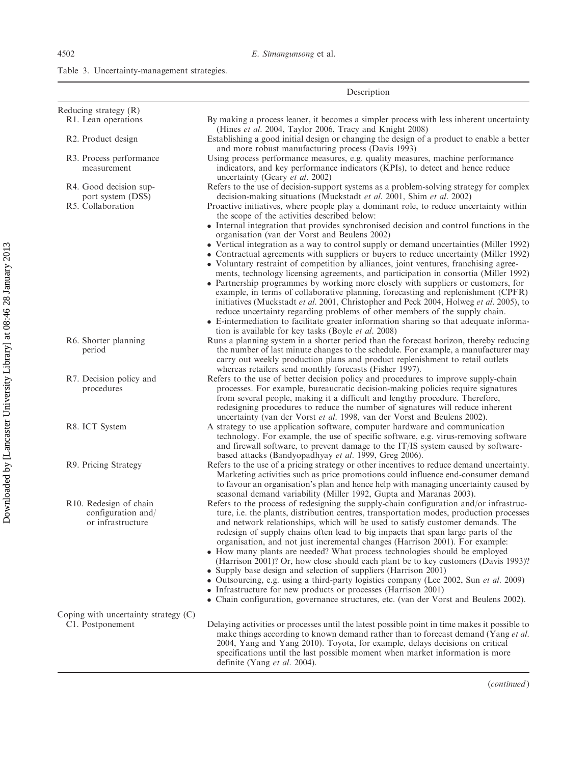Table 3. Uncertainty-management strategies.

|                |                                                                   | Description                                                                                                                                                                                                                                                                                                                                                                                                                               |
|----------------|-------------------------------------------------------------------|-------------------------------------------------------------------------------------------------------------------------------------------------------------------------------------------------------------------------------------------------------------------------------------------------------------------------------------------------------------------------------------------------------------------------------------------|
|                | Reducing strategy (R)                                             |                                                                                                                                                                                                                                                                                                                                                                                                                                           |
|                | R1. Lean operations                                               | By making a process leaner, it becomes a simpler process with less inherent uncertainty<br>(Hines et al. 2004, Taylor 2006, Tracy and Knight 2008)                                                                                                                                                                                                                                                                                        |
|                | R2. Product design                                                | Establishing a good initial design or changing the design of a product to enable a better<br>and more robust manufacturing process (Davis 1993)                                                                                                                                                                                                                                                                                           |
|                | R3. Process performance<br>measurement                            | Using process performance measures, e.g. quality measures, machine performance<br>indicators, and key performance indicators (KPIs), to detect and hence reduce<br>uncertainty (Geary et al. 2002)                                                                                                                                                                                                                                        |
|                | R4. Good decision sup-<br>port system (DSS)                       | Refers to the use of decision-support systems as a problem-solving strategy for complex<br>decision-making situations (Muckstadt et al. 2001, Shim et al. 2002)                                                                                                                                                                                                                                                                           |
|                | R5. Collaboration                                                 | Proactive initiatives, where people play a dominant role, to reduce uncertainty within<br>the scope of the activities described below:<br>• Internal integration that provides synchronised decision and control functions in the                                                                                                                                                                                                         |
|                |                                                                   | organisation (van der Vorst and Beulens 2002)<br>• Vertical integration as a way to control supply or demand uncertainties (Miller 1992)                                                                                                                                                                                                                                                                                                  |
|                |                                                                   | • Contractual agreements with suppliers or buyers to reduce uncertainty (Miller 1992)<br>• Voluntary restraint of competition by alliances, joint ventures, franchising agree-<br>ments, technology licensing agreements, and participation in consortia (Miller 1992)                                                                                                                                                                    |
|                |                                                                   | • Partnership programmes by working more closely with suppliers or customers, for<br>example, in terms of collaborative planning, forecasting and replenishment (CPFR)<br>initiatives (Muckstadt et al. 2001, Christopher and Peck 2004, Holweg et al. 2005), to<br>reduce uncertainty regarding problems of other members of the supply chain.<br>• E-intermediation to facilitate greater information sharing so that adequate informa- |
|                |                                                                   | tion is available for key tasks (Boyle et al. 2008)<br>Runs a planning system in a shorter period than the forecast horizon, thereby reducing                                                                                                                                                                                                                                                                                             |
| period         | R6. Shorter planning                                              | the number of last minute changes to the schedule. For example, a manufacturer may<br>carry out weekly production plans and product replenishment to retail outlets<br>whereas retailers send monthly forecasts (Fisher 1997).                                                                                                                                                                                                            |
|                | R7. Decision policy and<br>procedures                             | Refers to the use of better decision policy and procedures to improve supply-chain<br>processes. For example, bureaucratic decision-making policies require signatures<br>from several people, making it a difficult and lengthy procedure. Therefore,<br>redesigning procedures to reduce the number of signatures will reduce inherent<br>uncertainty (van der Vorst et al. 1998, van der Vorst and Beulens 2002).                      |
| R8. ICT System |                                                                   | A strategy to use application software, computer hardware and communication<br>technology. For example, the use of specific software, e.g. virus-removing software<br>and firewall software, to prevent damage to the IT/IS system caused by software-<br>based attacks (Bandyopadhyay et al. 1999, Greg 2006).                                                                                                                           |
|                | R9. Pricing Strategy                                              | Refers to the use of a pricing strategy or other incentives to reduce demand uncertainty.<br>Marketing activities such as price promotions could influence end-consumer demand<br>to favour an organisation's plan and hence help with managing uncertainty caused by<br>seasonal demand variability (Miller 1992, Gupta and Maranas 2003).                                                                                               |
|                | R10. Redesign of chain<br>configuration and/<br>or infrastructure | Refers to the process of redesigning the supply-chain configuration and/or infrastruc-<br>ture, i.e. the plants, distribution centres, transportation modes, production processes<br>and network relationships, which will be used to satisfy customer demands. The<br>redesign of supply chains often lead to big impacts that span large parts of the<br>organisation, and not just incremental changes (Harrison 2001). For example:   |
|                |                                                                   | • How many plants are needed? What process technologies should be employed<br>(Harrison 2001)? Or, how close should each plant be to key customers (Davis 1993)?<br>• Supply base design and selection of suppliers (Harrison 2001)<br>• Outsourcing, e.g. using a third-party logistics company (Lee 2002, Sun <i>et al.</i> 2009)                                                                                                       |
|                |                                                                   | • Infrastructure for new products or processes (Harrison 2001)<br>• Chain configuration, governance structures, etc. (van der Vorst and Beulens 2002).                                                                                                                                                                                                                                                                                    |
|                | Coping with uncertainty strategy (C)                              |                                                                                                                                                                                                                                                                                                                                                                                                                                           |
|                | C1. Postponement                                                  | Delaying activities or processes until the latest possible point in time makes it possible to<br>make things according to known demand rather than to forecast demand (Yang et al.<br>2004, Yang and Yang 2010). Toyota, for example, delays decisions on critical<br>specifications until the last possible moment when market information is more<br>definite (Yang et al. 2004).                                                       |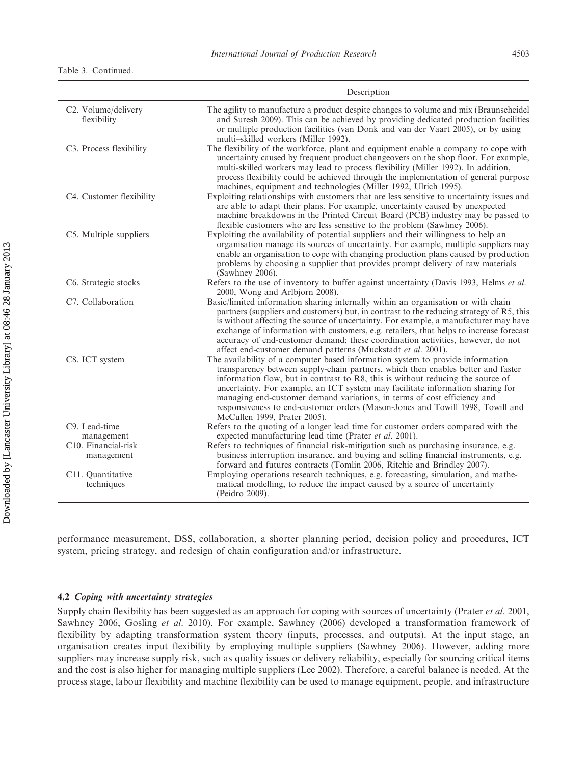|                                                 | Description                                                                                                                                                                                                                                                                                                                                                                                                                                                                                                                           |
|-------------------------------------------------|---------------------------------------------------------------------------------------------------------------------------------------------------------------------------------------------------------------------------------------------------------------------------------------------------------------------------------------------------------------------------------------------------------------------------------------------------------------------------------------------------------------------------------------|
| C2. Volume/delivery<br>flexibility              | The agility to manufacture a product despite changes to volume and mix (Braunscheidel<br>and Suresh 2009). This can be achieved by providing dedicated production facilities<br>or multiple production facilities (van Donk and van der Vaart 2005), or by using<br>multi-skilled workers (Miller 1992).                                                                                                                                                                                                                              |
| C3. Process flexibility                         | The flexibility of the workforce, plant and equipment enable a company to cope with<br>uncertainty caused by frequent product changeovers on the shop floor. For example,<br>multi-skilled workers may lead to process flexibility (Miller 1992). In addition,<br>process flexibility could be achieved through the implementation of general purpose<br>machines, equipment and technologies (Miller 1992, Ulrich 1995).                                                                                                             |
| C4. Customer flexibility                        | Exploiting relationships with customers that are less sensitive to uncertainty issues and<br>are able to adapt their plans. For example, uncertainty caused by unexpected<br>machine breakdowns in the Printed Circuit Board (PCB) industry may be passed to<br>flexible customers who are less sensitive to the problem (Sawhney 2006).                                                                                                                                                                                              |
| C5. Multiple suppliers                          | Exploiting the availability of potential suppliers and their willingness to help an<br>organisation manage its sources of uncertainty. For example, multiple suppliers may<br>enable an organisation to cope with changing production plans caused by production<br>problems by choosing a supplier that provides prompt delivery of raw materials<br>(Sawhney 2006).                                                                                                                                                                 |
| C6. Strategic stocks                            | Refers to the use of inventory to buffer against uncertainty (Davis 1993, Helms <i>et al.</i><br>2000, Wong and Arlbjorn 2008).                                                                                                                                                                                                                                                                                                                                                                                                       |
| C7. Collaboration                               | Basic/limited information sharing internally within an organisation or with chain<br>partners (suppliers and customers) but, in contrast to the reducing strategy of R5, this<br>is without affecting the source of uncertainty. For example, a manufacturer may have<br>exchange of information with customers, e.g. retailers, that helps to increase forecast<br>accuracy of end-customer demand; these coordination activities, however, do not<br>affect end-customer demand patterns (Muckstadt et al. 2001).                   |
| C8. ICT system                                  | The availability of a computer based information system to provide information<br>transparency between supply-chain partners, which then enables better and faster<br>information flow, but in contrast to R8, this is without reducing the source of<br>uncertainty. For example, an ICT system may facilitate information sharing for<br>managing end-customer demand variations, in terms of cost efficiency and<br>responsiveness to end-customer orders (Mason-Jones and Towill 1998, Towill and<br>McCullen 1999, Prater 2005). |
| C9. Lead-time                                   | Refers to the quoting of a longer lead time for customer orders compared with the                                                                                                                                                                                                                                                                                                                                                                                                                                                     |
| management<br>C10. Financial-risk<br>management | expected manufacturing lead time (Prater et al. 2001).<br>Refers to techniques of financial risk-mitigation such as purchasing insurance, e.g.<br>business interruption insurance, and buying and selling financial instruments, e.g.                                                                                                                                                                                                                                                                                                 |
| C11. Quantitative<br>techniques                 | forward and futures contracts (Tomlin 2006, Ritchie and Brindley 2007).<br>Employing operations research techniques, e.g. forecasting, simulation, and mathe-<br>matical modelling, to reduce the impact caused by a source of uncertainty<br>(Peidro 2009).                                                                                                                                                                                                                                                                          |

performance measurement, DSS, collaboration, a shorter planning period, decision policy and procedures, ICT system, pricing strategy, and redesign of chain configuration and/or infrastructure.

# 4.2 Coping with uncertainty strategies

Supply chain flexibility has been suggested as an approach for coping with sources of uncertainty (Prater et al. 2001, Sawhney 2006, Gosling et al. 2010). For example, Sawhney (2006) developed a transformation framework of flexibility by adapting transformation system theory (inputs, processes, and outputs). At the input stage, an organisation creates input flexibility by employing multiple suppliers (Sawhney 2006). However, adding more suppliers may increase supply risk, such as quality issues or delivery reliability, especially for sourcing critical items and the cost is also higher for managing multiple suppliers (Lee 2002). Therefore, a careful balance is needed. At the process stage, labour flexibility and machine flexibility can be used to manage equipment, people, and infrastructure

L,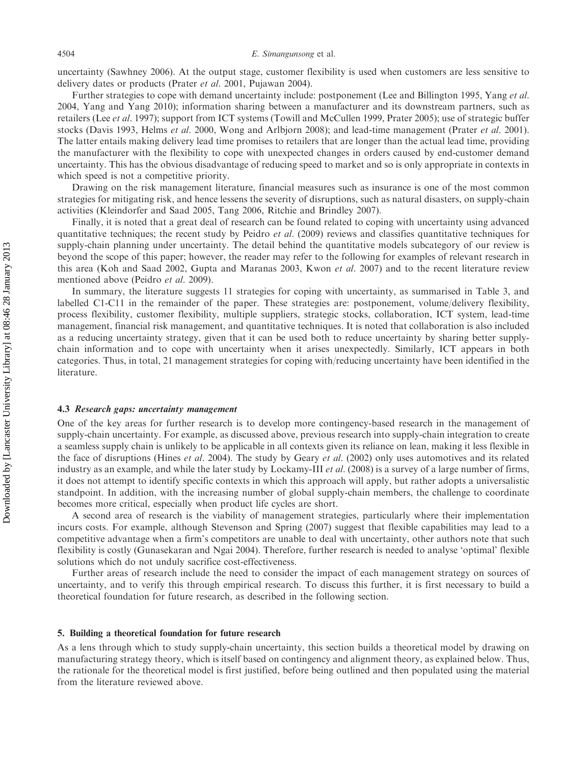uncertainty (Sawhney 2006). At the output stage, customer flexibility is used when customers are less sensitive to delivery dates or products (Prater et al. 2001, Pujawan 2004).

Further strategies to cope with demand uncertainty include: postponement (Lee and Billington 1995, Yang et al. 2004, Yang and Yang 2010); information sharing between a manufacturer and its downstream partners, such as retailers (Lee *et al.* 1997); support from ICT systems (Towill and McCullen 1999, Prater 2005); use of strategic buffer stocks (Davis 1993, Helms et al. 2000, Wong and Arlbjorn 2008); and lead-time management (Prater et al. 2001). The latter entails making delivery lead time promises to retailers that are longer than the actual lead time, providing the manufacturer with the flexibility to cope with unexpected changes in orders caused by end-customer demand uncertainty. This has the obvious disadvantage of reducing speed to market and so is only appropriate in contexts in which speed is not a competitive priority.

Drawing on the risk management literature, financial measures such as insurance is one of the most common strategies for mitigating risk, and hence lessens the severity of disruptions, such as natural disasters, on supply-chain activities (Kleindorfer and Saad 2005, Tang 2006, Ritchie and Brindley 2007).

Finally, it is noted that a great deal of research can be found related to coping with uncertainty using advanced quantitative techniques; the recent study by Peidro *et al.* (2009) reviews and classifies quantitative techniques for supply-chain planning under uncertainty. The detail behind the quantitative models subcategory of our review is beyond the scope of this paper; however, the reader may refer to the following for examples of relevant research in this area (Koh and Saad 2002, Gupta and Maranas 2003, Kwon et al. 2007) and to the recent literature review mentioned above (Peidro et al. 2009).

In summary, the literature suggests 11 strategies for coping with uncertainty, as summarised in Table 3, and labelled C1-C11 in the remainder of the paper. These strategies are: postponement, volume/delivery flexibility, process flexibility, customer flexibility, multiple suppliers, strategic stocks, collaboration, ICT system, lead-time management, financial risk management, and quantitative techniques. It is noted that collaboration is also included as a reducing uncertainty strategy, given that it can be used both to reduce uncertainty by sharing better supplychain information and to cope with uncertainty when it arises unexpectedly. Similarly, ICT appears in both categories. Thus, in total, 21 management strategies for coping with/reducing uncertainty have been identified in the literature.

#### 4.3 Research gaps: uncertainty management

One of the key areas for further research is to develop more contingency-based research in the management of supply-chain uncertainty. For example, as discussed above, previous research into supply-chain integration to create a seamless supply chain is unlikely to be applicable in all contexts given its reliance on lean, making it less flexible in the face of disruptions (Hines *et al.* 2004). The study by Geary *et al.* (2002) only uses automotives and its related industry as an example, and while the later study by Lockamy-III *et al.* (2008) is a survey of a large number of firms, it does not attempt to identify specific contexts in which this approach will apply, but rather adopts a universalistic standpoint. In addition, with the increasing number of global supply-chain members, the challenge to coordinate becomes more critical, especially when product life cycles are short.

A second area of research is the viability of management strategies, particularly where their implementation incurs costs. For example, although Stevenson and Spring (2007) suggest that flexible capabilities may lead to a competitive advantage when a firm's competitors are unable to deal with uncertainty, other authors note that such flexibility is costly (Gunasekaran and Ngai 2004). Therefore, further research is needed to analyse 'optimal' flexible solutions which do not unduly sacrifice cost-effectiveness.

Further areas of research include the need to consider the impact of each management strategy on sources of uncertainty, and to verify this through empirical research. To discuss this further, it is first necessary to build a theoretical foundation for future research, as described in the following section.

#### 5. Building a theoretical foundation for future research

As a lens through which to study supply-chain uncertainty, this section builds a theoretical model by drawing on manufacturing strategy theory, which is itself based on contingency and alignment theory, as explained below. Thus, the rationale for the theoretical model is first justified, before being outlined and then populated using the material from the literature reviewed above.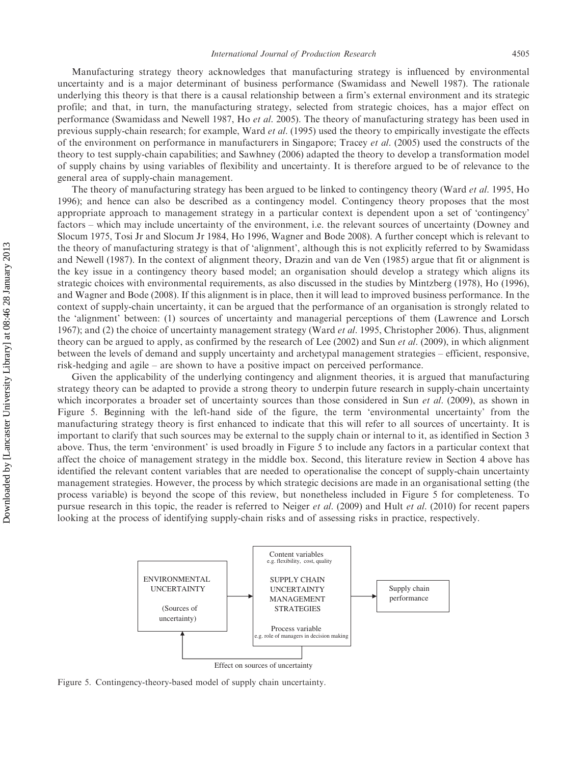Manufacturing strategy theory acknowledges that manufacturing strategy is influenced by environmental uncertainty and is a major determinant of business performance (Swamidass and Newell 1987). The rationale underlying this theory is that there is a causal relationship between a firm's external environment and its strategic profile; and that, in turn, the manufacturing strategy, selected from strategic choices, has a major effect on performance (Swamidass and Newell 1987, Ho et al. 2005). The theory of manufacturing strategy has been used in previous supply-chain research; for example, Ward et al. (1995) used the theory to empirically investigate the effects of the environment on performance in manufacturers in Singapore; Tracey et al. (2005) used the constructs of the theory to test supply-chain capabilities; and Sawhney (2006) adapted the theory to develop a transformation model of supply chains by using variables of flexibility and uncertainty. It is therefore argued to be of relevance to the general area of supply-chain management.

The theory of manufacturing strategy has been argued to be linked to contingency theory (Ward et al. 1995, Ho 1996); and hence can also be described as a contingency model. Contingency theory proposes that the most appropriate approach to management strategy in a particular context is dependent upon a set of 'contingency' factors – which may include uncertainty of the environment, i.e. the relevant sources of uncertainty (Downey and Slocum 1975, Tosi Jr and Slocum Jr 1984, Ho 1996, Wagner and Bode 2008). A further concept which is relevant to the theory of manufacturing strategy is that of 'alignment', although this is not explicitly referred to by Swamidass and Newell (1987). In the context of alignment theory, Drazin and van de Ven (1985) argue that fit or alignment is the key issue in a contingency theory based model; an organisation should develop a strategy which aligns its strategic choices with environmental requirements, as also discussed in the studies by Mintzberg (1978), Ho (1996), and Wagner and Bode (2008). If this alignment is in place, then it will lead to improved business performance. In the context of supply-chain uncertainty, it can be argued that the performance of an organisation is strongly related to the 'alignment' between: (1) sources of uncertainty and managerial perceptions of them (Lawrence and Lorsch 1967); and (2) the choice of uncertainty management strategy (Ward *et al.* 1995, Christopher 2006). Thus, alignment theory can be argued to apply, as confirmed by the research of Lee (2002) and Sun et al. (2009), in which alignment between the levels of demand and supply uncertainty and archetypal management strategies – efficient, responsive, risk-hedging and agile – are shown to have a positive impact on perceived performance.

Given the applicability of the underlying contingency and alignment theories, it is argued that manufacturing strategy theory can be adapted to provide a strong theory to underpin future research in supply-chain uncertainty which incorporates a broader set of uncertainty sources than those considered in Sun et al. (2009), as shown in Figure 5. Beginning with the left-hand side of the figure, the term 'environmental uncertainty' from the manufacturing strategy theory is first enhanced to indicate that this will refer to all sources of uncertainty. It is important to clarify that such sources may be external to the supply chain or internal to it, as identified in Section 3 above. Thus, the term 'environment' is used broadly in Figure 5 to include any factors in a particular context that affect the choice of management strategy in the middle box. Second, this literature review in Section 4 above has identified the relevant content variables that are needed to operationalise the concept of supply-chain uncertainty management strategies. However, the process by which strategic decisions are made in an organisational setting (the process variable) is beyond the scope of this review, but nonetheless included in Figure 5 for completeness. To pursue research in this topic, the reader is referred to Neiger *et al.* (2009) and Hult *et al.* (2010) for recent papers looking at the process of identifying supply-chain risks and of assessing risks in practice, respectively.



Figure 5. Contingency-theory-based model of supply chain uncertainty.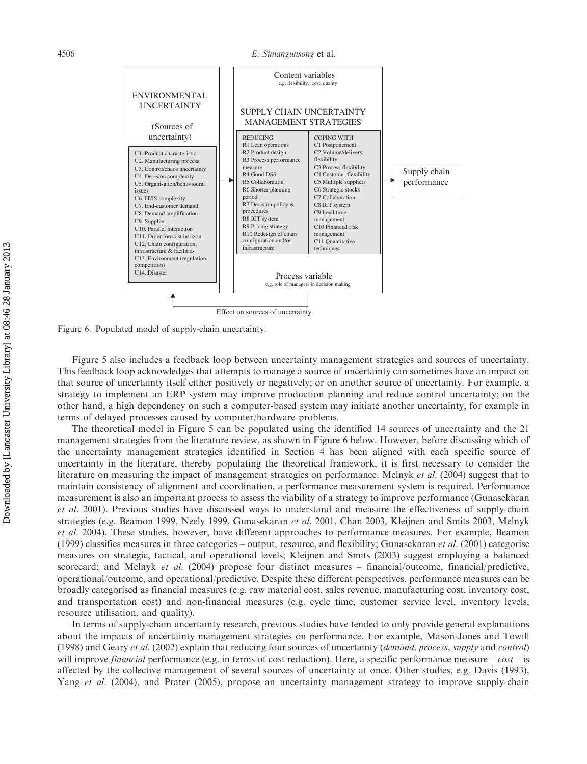4506 E. Simangunsong et al.



Figure 6. Populated model of supply-chain uncertainty.

Figure 5 also includes a feedback loop between uncertainty management strategies and sources of uncertainty. This feedback loop acknowledges that attempts to manage a source of uncertainty can sometimes have an impact on that source of uncertainty itself either positively or negatively; or on another source of uncertainty. For example, a strategy to implement an ERP system may improve production planning and reduce control uncertainty; on the other hand, a high dependency on such a computer-based system may initiate another uncertainty, for example in terms of delayed processes caused by computer/hardware problems.

The theoretical model in Figure 5 can be populated using the identified 14 sources of uncertainty and the 21 management strategies from the literature review, as shown in Figure 6 below. However, before discussing which of the uncertainty management strategies identified in Section 4 has been aligned with each specific source of uncertainty in the literature, thereby populating the theoretical framework, it is first necessary to consider the literature on measuring the impact of management strategies on performance. Melnyk et al. (2004) suggest that to maintain consistency of alignment and coordination, a performance measurement system is required. Performance measurement is also an important process to assess the viability of a strategy to improve performance (Gunasekaran et al. 2001). Previous studies have discussed ways to understand and measure the effectiveness of supply-chain strategies (e.g. Beamon 1999, Neely 1999, Gunasekaran *et al.* 2001, Chan 2003, Kleijnen and Smits 2003, Melnyk et al. 2004). These studies, however, have different approaches to performance measures. For example, Beamon (1999) classifies measures in three categories – output, resource, and flexibility; Gunasekaran *et al.* (2001) categorise measures on strategic, tactical, and operational levels; Kleijnen and Smits (2003) suggest employing a balanced scorecard; and Melnyk et al. (2004) propose four distinct measures – financial/outcome, financial/predictive, operational/outcome, and operational/predictive. Despite these different perspectives, performance measures can be broadly categorised as financial measures (e.g. raw material cost, sales revenue, manufacturing cost, inventory cost, and transportation cost) and non-financial measures (e.g. cycle time, customer service level, inventory levels, resource utilisation, and quality).

In terms of supply-chain uncertainty research, previous studies have tended to only provide general explanations about the impacts of uncertainty management strategies on performance. For example, Mason-Jones and Towill (1998) and Geary et al. (2002) explain that reducing four sources of uncertainty (demand, process, supply and control) will improve *financial* performance (e.g. in terms of cost reduction). Here, a specific performance measure –  $cost -$  is affected by the collective management of several sources of uncertainty at once. Other studies, e.g. Davis (1993), Yang et al. (2004), and Prater (2005), propose an uncertainty management strategy to improve supply-chain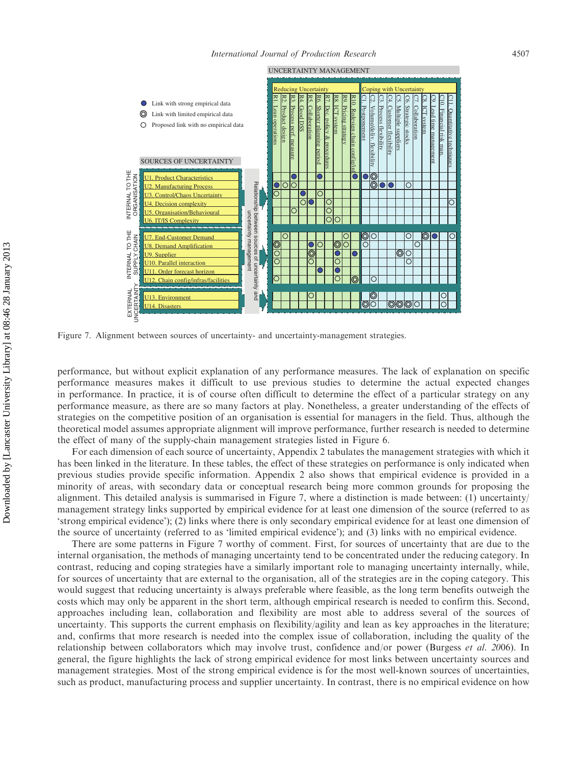

Figure 7. Alignment between sources of uncertainty- and uncertainty-management strategies.

performance, but without explicit explanation of any performance measures. The lack of explanation on specific performance measures makes it difficult to use previous studies to determine the actual expected changes in performance. In practice, it is of course often difficult to determine the effect of a particular strategy on any performance measure, as there are so many factors at play. Nonetheless, a greater understanding of the effects of strategies on the competitive position of an organisation is essential for managers in the field. Thus, although the theoretical model assumes appropriate alignment will improve performance, further research is needed to determine the effect of many of the supply-chain management strategies listed in Figure 6.

For each dimension of each source of uncertainty, Appendix 2 tabulates the management strategies with which it has been linked in the literature. In these tables, the effect of these strategies on performance is only indicated when previous studies provide specific information. Appendix 2 also shows that empirical evidence is provided in a minority of areas, with secondary data or conceptual research being more common grounds for proposing the alignment. This detailed analysis is summarised in Figure 7, where a distinction is made between: (1) uncertainty/ management strategy links supported by empirical evidence for at least one dimension of the source (referred to as 'strong empirical evidence'); (2) links where there is only secondary empirical evidence for at least one dimension of the source of uncertainty (referred to as 'limited empirical evidence'); and (3) links with no empirical evidence.

There are some patterns in Figure 7 worthy of comment. First, for sources of uncertainty that are due to the internal organisation, the methods of managing uncertainty tend to be concentrated under the reducing category. In contrast, reducing and coping strategies have a similarly important role to managing uncertainty internally, while, for sources of uncertainty that are external to the organisation, all of the strategies are in the coping category. This would suggest that reducing uncertainty is always preferable where feasible, as the long term benefits outweigh the costs which may only be apparent in the short term, although empirical research is needed to confirm this. Second, approaches including lean, collaboration and flexibility are most able to address several of the sources of uncertainty. This supports the current emphasis on flexibility/agility and lean as key approaches in the literature; and, confirms that more research is needed into the complex issue of collaboration, including the quality of the relationship between collaborators which may involve trust, confidence and/or power (Burgess et al. 2006). In general, the figure highlights the lack of strong empirical evidence for most links between uncertainty sources and management strategies. Most of the strong empirical evidence is for the most well-known sources of uncertainties, such as product, manufacturing process and supplier uncertainty. In contrast, there is no empirical evidence on how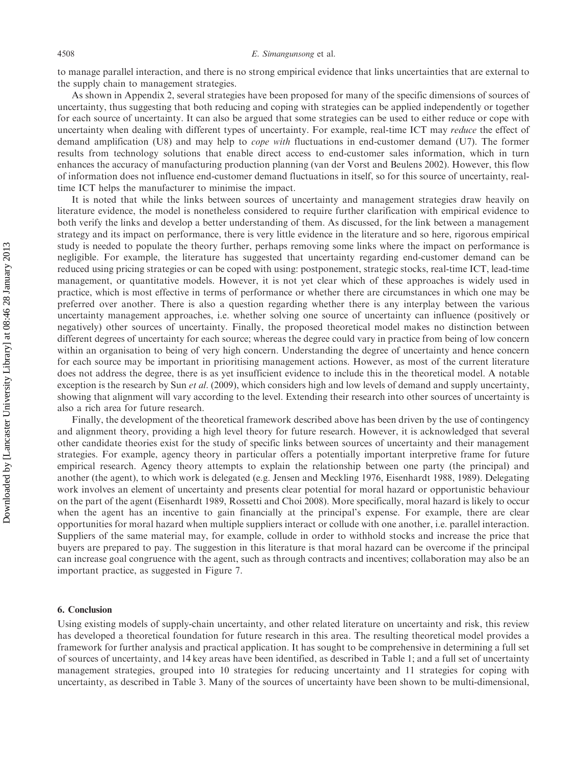to manage parallel interaction, and there is no strong empirical evidence that links uncertainties that are external to the supply chain to management strategies.

As shown in Appendix 2, several strategies have been proposed for many of the specific dimensions of sources of uncertainty, thus suggesting that both reducing and coping with strategies can be applied independently or together for each source of uncertainty. It can also be argued that some strategies can be used to either reduce or cope with uncertainty when dealing with different types of uncertainty. For example, real-time ICT may *reduce* the effect of demand amplification (U8) and may help to cope with fluctuations in end-customer demand (U7). The former results from technology solutions that enable direct access to end-customer sales information, which in turn enhances the accuracy of manufacturing production planning (van der Vorst and Beulens 2002). However, this flow of information does not influence end-customer demand fluctuations in itself, so for this source of uncertainty, realtime ICT helps the manufacturer to minimise the impact.

It is noted that while the links between sources of uncertainty and management strategies draw heavily on literature evidence, the model is nonetheless considered to require further clarification with empirical evidence to both verify the links and develop a better understanding of them. As discussed, for the link between a management strategy and its impact on performance, there is very little evidence in the literature and so here, rigorous empirical study is needed to populate the theory further, perhaps removing some links where the impact on performance is negligible. For example, the literature has suggested that uncertainty regarding end-customer demand can be reduced using pricing strategies or can be coped with using: postponement, strategic stocks, real-time ICT, lead-time management, or quantitative models. However, it is not yet clear which of these approaches is widely used in practice, which is most effective in terms of performance or whether there are circumstances in which one may be preferred over another. There is also a question regarding whether there is any interplay between the various uncertainty management approaches, i.e. whether solving one source of uncertainty can influence (positively or negatively) other sources of uncertainty. Finally, the proposed theoretical model makes no distinction between different degrees of uncertainty for each source; whereas the degree could vary in practice from being of low concern within an organisation to being of very high concern. Understanding the degree of uncertainty and hence concern for each source may be important in prioritising management actions. However, as most of the current literature does not address the degree, there is as yet insufficient evidence to include this in the theoretical model. A notable exception is the research by Sun *et al.* (2009), which considers high and low levels of demand and supply uncertainty, showing that alignment will vary according to the level. Extending their research into other sources of uncertainty is also a rich area for future research.

Finally, the development of the theoretical framework described above has been driven by the use of contingency and alignment theory, providing a high level theory for future research. However, it is acknowledged that several other candidate theories exist for the study of specific links between sources of uncertainty and their management strategies. For example, agency theory in particular offers a potentially important interpretive frame for future empirical research. Agency theory attempts to explain the relationship between one party (the principal) and another (the agent), to which work is delegated (e.g. Jensen and Meckling 1976, Eisenhardt 1988, 1989). Delegating work involves an element of uncertainty and presents clear potential for moral hazard or opportunistic behaviour on the part of the agent (Eisenhardt 1989, Rossetti and Choi 2008). More specifically, moral hazard is likely to occur when the agent has an incentive to gain financially at the principal's expense. For example, there are clear opportunities for moral hazard when multiple suppliers interact or collude with one another, i.e. parallel interaction. Suppliers of the same material may, for example, collude in order to withhold stocks and increase the price that buyers are prepared to pay. The suggestion in this literature is that moral hazard can be overcome if the principal can increase goal congruence with the agent, such as through contracts and incentives; collaboration may also be an important practice, as suggested in Figure 7.

### 6. Conclusion

Using existing models of supply-chain uncertainty, and other related literature on uncertainty and risk, this review has developed a theoretical foundation for future research in this area. The resulting theoretical model provides a framework for further analysis and practical application. It has sought to be comprehensive in determining a full set of sources of uncertainty, and 14 key areas have been identified, as described in Table 1; and a full set of uncertainty management strategies, grouped into 10 strategies for reducing uncertainty and 11 strategies for coping with uncertainty, as described in Table 3. Many of the sources of uncertainty have been shown to be multi-dimensional,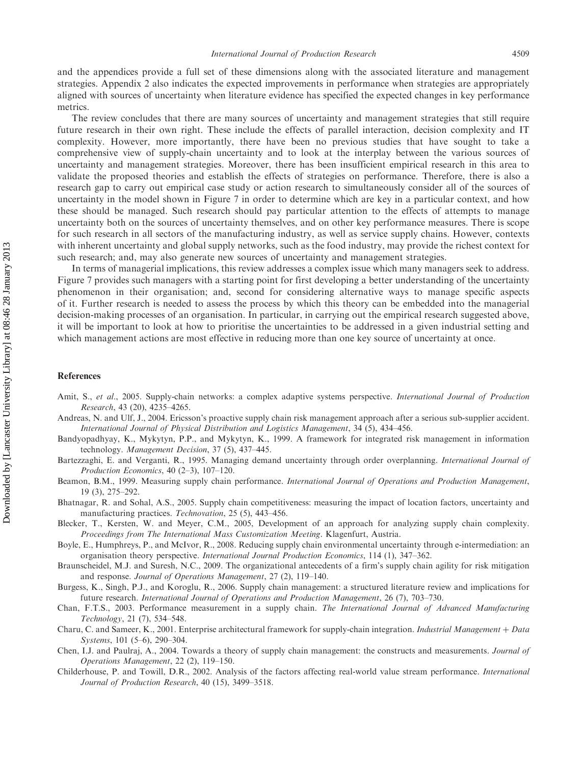and the appendices provide a full set of these dimensions along with the associated literature and management strategies. Appendix 2 also indicates the expected improvements in performance when strategies are appropriately aligned with sources of uncertainty when literature evidence has specified the expected changes in key performance metrics.

The review concludes that there are many sources of uncertainty and management strategies that still require future research in their own right. These include the effects of parallel interaction, decision complexity and IT complexity. However, more importantly, there have been no previous studies that have sought to take a comprehensive view of supply-chain uncertainty and to look at the interplay between the various sources of uncertainty and management strategies. Moreover, there has been insufficient empirical research in this area to validate the proposed theories and establish the effects of strategies on performance. Therefore, there is also a research gap to carry out empirical case study or action research to simultaneously consider all of the sources of uncertainty in the model shown in Figure 7 in order to determine which are key in a particular context, and how these should be managed. Such research should pay particular attention to the effects of attempts to manage uncertainty both on the sources of uncertainty themselves, and on other key performance measures. There is scope for such research in all sectors of the manufacturing industry, as well as service supply chains. However, contexts with inherent uncertainty and global supply networks, such as the food industry, may provide the richest context for such research; and, may also generate new sources of uncertainty and management strategies.

In terms of managerial implications, this review addresses a complex issue which many managers seek to address. Figure 7 provides such managers with a starting point for first developing a better understanding of the uncertainty phenomenon in their organisation; and, second for considering alternative ways to manage specific aspects of it. Further research is needed to assess the process by which this theory can be embedded into the managerial decision-making processes of an organisation. In particular, in carrying out the empirical research suggested above, it will be important to look at how to prioritise the uncertainties to be addressed in a given industrial setting and which management actions are most effective in reducing more than one key source of uncertainty at once.

### References

- Amit, S., et al., 2005. Supply-chain networks: a complex adaptive systems perspective. International Journal of Production Research, 43 (20), 4235–4265.
- Andreas, N. and Ulf, J., 2004. Ericsson's proactive supply chain risk management approach after a serious sub-supplier accident. International Journal of Physical Distribution and Logistics Management, 34 (5), 434–456.
- Bandyopadhyay, K., Mykytyn, P.P., and Mykytyn, K., 1999. A framework for integrated risk management in information technology. Management Decision, 37 (5), 437–445.
- Bartezzaghi, E. and Verganti, R., 1995. Managing demand uncertainty through order overplanning. International Journal of Production Economics, 40 (2–3), 107–120.
- Beamon, B.M., 1999. Measuring supply chain performance. International Journal of Operations and Production Management, 19 (3), 275–292.
- Bhatnagar, R. and Sohal, A.S., 2005. Supply chain competitiveness: measuring the impact of location factors, uncertainty and manufacturing practices. Technovation, 25 (5), 443-456.
- Blecker, T., Kersten, W. and Meyer, C.M., 2005, Development of an approach for analyzing supply chain complexity. Proceedings from The International Mass Customization Meeting. Klagenfurt, Austria.
- Boyle, E., Humphreys, P., and McIvor, R., 2008. Reducing supply chain environmental uncertainty through e-intermediation: an organisation theory perspective. International Journal Production Economics, 114 (1), 347–362.
- Braunscheidel, M.J. and Suresh, N.C., 2009. The organizational antecedents of a firm's supply chain agility for risk mitigation and response. Journal of Operations Management, 27 (2), 119–140.
- Burgess, K., Singh, P.J., and Koroglu, R., 2006. Supply chain management: a structured literature review and implications for future research. International Journal of Operations and Production Management, 26 (7), 703–730.
- Chan, F.T.S., 2003. Performance measurement in a supply chain. The International Journal of Advanced Manufacturing Technology, 21 (7), 534–548.
- Charu, C. and Sameer, K., 2001. Enterprise architectural framework for supply-chain integration. Industrial Management + Data Systems, 101 (5–6), 290–304.
- Chen, I.J. and Paulraj, A., 2004. Towards a theory of supply chain management: the constructs and measurements. Journal of Operations Management, 22 (2), 119–150.
- Childerhouse, P. and Towill, D.R., 2002. Analysis of the factors affecting real-world value stream performance. International Journal of Production Research, 40 (15), 3499–3518.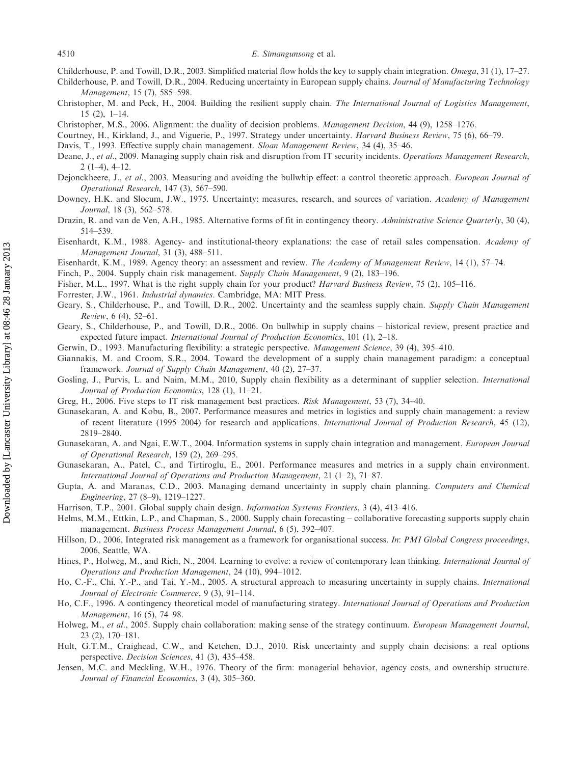Childerhouse, P. and Towill, D.R., 2003. Simplified material flow holds the key to supply chain integration. Omega, 31 (1), 17–27.

- Childerhouse, P. and Towill, D.R., 2004. Reducing uncertainty in European supply chains. Journal of Manufacturing Technology Management, 15 (7), 585–598.
- Christopher, M. and Peck, H., 2004. Building the resilient supply chain. The International Journal of Logistics Management, 15 (2), 1–14.
- Christopher, M.S., 2006. Alignment: the duality of decision problems. Management Decision, 44 (9), 1258–1276.
- Courtney, H., Kirkland, J., and Viguerie, P., 1997. Strategy under uncertainty. Harvard Business Review, 75 (6), 66–79.
- Davis, T., 1993. Effective supply chain management. Sloan Management Review, 34 (4), 35–46.
- Deane, J., et al., 2009. Managing supply chain risk and disruption from IT security incidents. Operations Management Research,  $2(1-4), 4-12.$
- Dejonckheere, J., et al., 2003. Measuring and avoiding the bullwhip effect: a control theoretic approach. European Journal of Operational Research, 147 (3), 567–590.
- Downey, H.K. and Slocum, J.W., 1975. Uncertainty: measures, research, and sources of variation. Academy of Management Journal, 18 (3), 562–578.
- Drazin, R. and van de Ven, A.H., 1985. Alternative forms of fit in contingency theory. Administrative Science Quarterly, 30 (4), 514–539.
- Eisenhardt, K.M., 1988. Agency- and institutional-theory explanations: the case of retail sales compensation. Academy of Management Journal, 31 (3), 488–511.
- Eisenhardt, K.M., 1989. Agency theory: an assessment and review. The Academy of Management Review, 14 (1), 57–74.
- Finch, P., 2004. Supply chain risk management. Supply Chain Management, 9 (2), 183–196.
- Fisher, M.L., 1997. What is the right supply chain for your product? Harvard Business Review, 75 (2), 105–116.
- Forrester, J.W., 1961. Industrial dynamics. Cambridge, MA: MIT Press.
- Geary, S., Childerhouse, P., and Towill, D.R., 2002. Uncertainty and the seamless supply chain. Supply Chain Management Review, 6 (4), 52–61.
- Geary, S., Childerhouse, P., and Towill, D.R., 2006. On bullwhip in supply chains historical review, present practice and expected future impact. International Journal of Production Economics, 101 (1), 2–18.
- Gerwin, D., 1993. Manufacturing flexibility: a strategic perspective. Management Science, 39 (4), 395–410.
- Giannakis, M. and Croom, S.R., 2004. Toward the development of a supply chain management paradigm: a conceptual framework. Journal of Supply Chain Management, 40 (2), 27–37.
- Gosling, J., Purvis, L. and Naim, M.M., 2010, Supply chain flexibility as a determinant of supplier selection. *International* Journal of Production Economics, 128 (1), 11–21.
- Greg, H., 2006. Five steps to IT risk management best practices. Risk Management, 53 (7), 34–40.
- Gunasekaran, A. and Kobu, B., 2007. Performance measures and metrics in logistics and supply chain management: a review of recent literature (1995–2004) for research and applications. International Journal of Production Research, 45 (12), 2819–2840.
- Gunasekaran, A. and Ngai, E.W.T., 2004. Information systems in supply chain integration and management. European Journal of Operational Research, 159 (2), 269–295.
- Gunasekaran, A., Patel, C., and Tirtiroglu, E., 2001. Performance measures and metrics in a supply chain environment. International Journal of Operations and Production Management, 21 (1–2), 71–87.
- Gupta, A. and Maranas, C.D., 2003. Managing demand uncertainty in supply chain planning. Computers and Chemical Engineering, 27 (8–9), 1219–1227.
- Harrison, T.P., 2001. Global supply chain design. Information Systems Frontiers, 3 (4), 413–416.
- Helms, M.M., Ettkin, L.P., and Chapman, S., 2000. Supply chain forecasting collaborative forecasting supports supply chain management. Business Process Management Journal, 6 (5), 392–407.
- Hillson, D., 2006, Integrated risk management as a framework for organisational success. In: PMI Global Congress proceedings, 2006, Seattle, WA.
- Hines, P., Holweg, M., and Rich, N., 2004. Learning to evolve: a review of contemporary lean thinking. International Journal of Operations and Production Management, 24 (10), 994–1012.
- Ho, C.-F., Chi, Y.-P., and Tai, Y.-M., 2005. A structural approach to measuring uncertainty in supply chains. International Journal of Electronic Commerce, 9 (3), 91–114.
- Ho, C.F., 1996. A contingency theoretical model of manufacturing strategy. International Journal of Operations and Production Management, 16 (5), 74–98.
- Holweg, M., et al., 2005. Supply chain collaboration: making sense of the strategy continuum. European Management Journal, 23 (2), 170–181.
- Hult, G.T.M., Craighead, C.W., and Ketchen, D.J., 2010. Risk uncertainty and supply chain decisions: a real options perspective. Decision Sciences, 41 (3), 435–458.
- Jensen, M.C. and Meckling, W.H., 1976. Theory of the firm: managerial behavior, agency costs, and ownership structure. Journal of Financial Economics, 3 (4), 305–360.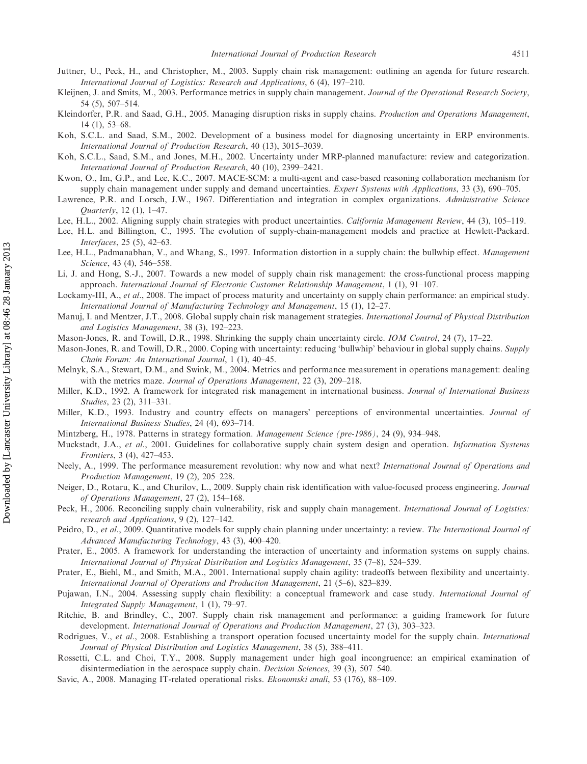- Juttner, U., Peck, H., and Christopher, M., 2003. Supply chain risk management: outlining an agenda for future research. International Journal of Logistics: Research and Applications, 6 (4), 197–210.
- Kleijnen, J. and Smits, M., 2003. Performance metrics in supply chain management. Journal of the Operational Research Society, 54 (5), 507–514.
- Kleindorfer, P.R. and Saad, G.H., 2005. Managing disruption risks in supply chains. Production and Operations Management, 14 (1), 53–68.
- Koh, S.C.L. and Saad, S.M., 2002. Development of a business model for diagnosing uncertainty in ERP environments. International Journal of Production Research, 40 (13), 3015–3039.
- Koh, S.C.L., Saad, S.M., and Jones, M.H., 2002. Uncertainty under MRP-planned manufacture: review and categorization. International Journal of Production Research, 40 (10), 2399–2421.
- Kwon, O., Im, G.P., and Lee, K.C., 2007. MACE-SCM: a multi-agent and case-based reasoning collaboration mechanism for supply chain management under supply and demand uncertainties. Expert Systems with Applications, 33 (3), 690–705.
- Lawrence, P.R. and Lorsch, J.W., 1967. Differentiation and integration in complex organizations. Administrative Science Quarterly, 12 (1), 1–47.
- Lee, H.L., 2002. Aligning supply chain strategies with product uncertainties. California Management Review, 44 (3), 105–119.
- Lee, H.L. and Billington, C., 1995. The evolution of supply-chain-management models and practice at Hewlett-Packard. Interfaces, 25 (5), 42–63.
- Lee, H.L., Padmanabhan, V., and Whang, S., 1997. Information distortion in a supply chain: the bullwhip effect. Management Science, 43 (4), 546–558.
- Li, J. and Hong, S.-J., 2007. Towards a new model of supply chain risk management: the cross-functional process mapping approach. International Journal of Electronic Customer Relationship Management, 1 (1), 91–107.
- Lockamy-III, A., et al., 2008. The impact of process maturity and uncertainty on supply chain performance: an empirical study. International Journal of Manufacturing Technology and Management, 15 (1), 12–27.
- Manuj, I. and Mentzer, J.T., 2008. Global supply chain risk management strategies. International Journal of Physical Distribution and Logistics Management, 38 (3), 192–223.
- Mason-Jones, R. and Towill, D.R., 1998. Shrinking the supply chain uncertainty circle. *IOM Control*, 24 (7), 17–22.
- Mason-Jones, R. and Towill, D.R., 2000. Coping with uncertainty: reducing 'bullwhip' behaviour in global supply chains. Supply Chain Forum: An International Journal, 1 (1), 40–45.
- Melnyk, S.A., Stewart, D.M., and Swink, M., 2004. Metrics and performance measurement in operations management: dealing with the metrics maze. Journal of Operations Management, 22 (3), 209–218.
- Miller, K.D., 1992. A framework for integrated risk management in international business. Journal of International Business Studies, 23 (2), 311–331.
- Miller, K.D., 1993. Industry and country effects on managers' perceptions of environmental uncertainties. Journal of International Business Studies, 24 (4), 693–714.
- Mintzberg, H., 1978. Patterns in strategy formation. Management Science (pre-1986), 24 (9), 934–948.
- Muckstadt, J.A., et al., 2001. Guidelines for collaborative supply chain system design and operation. Information Systems Frontiers, 3 (4), 427–453.
- Neely, A., 1999. The performance measurement revolution: why now and what next? International Journal of Operations and Production Management, 19 (2), 205–228.
- Neiger, D., Rotaru, K., and Churilov, L., 2009. Supply chain risk identification with value-focused process engineering. Journal of Operations Management, 27 (2), 154–168.
- Peck, H., 2006. Reconciling supply chain vulnerability, risk and supply chain management. International Journal of Logistics: research and Applications, 9 (2), 127–142.
- Peidro, D., et al., 2009. Quantitative models for supply chain planning under uncertainty: a review. The International Journal of Advanced Manufacturing Technology, 43 (3), 400–420.
- Prater, E., 2005. A framework for understanding the interaction of uncertainty and information systems on supply chains. International Journal of Physical Distribution and Logistics Management, 35 (7–8), 524–539.
- Prater, E., Biehl, M., and Smith, M.A., 2001. International supply chain agility: tradeoffs between flexibility and uncertainty. International Journal of Operations and Production Management, 21 (5–6), 823–839.
- Pujawan, I.N., 2004. Assessing supply chain flexibility: a conceptual framework and case study. International Journal of Integrated Supply Management, 1 (1), 79–97.
- Ritchie, B. and Brindley, C., 2007. Supply chain risk management and performance: a guiding framework for future development. International Journal of Operations and Production Management, 27 (3), 303–323.
- Rodrigues, V., et al., 2008. Establishing a transport operation focused uncertainty model for the supply chain. International Journal of Physical Distribution and Logistics Management, 38 (5), 388–411.
- Rossetti, C.L. and Choi, T.Y., 2008. Supply management under high goal incongruence: an empirical examination of disintermediation in the aerospace supply chain. Decision Sciences, 39 (3), 507–540.
- Savic, A., 2008. Managing IT-related operational risks. Ekonomski anali, 53 (176), 88–109.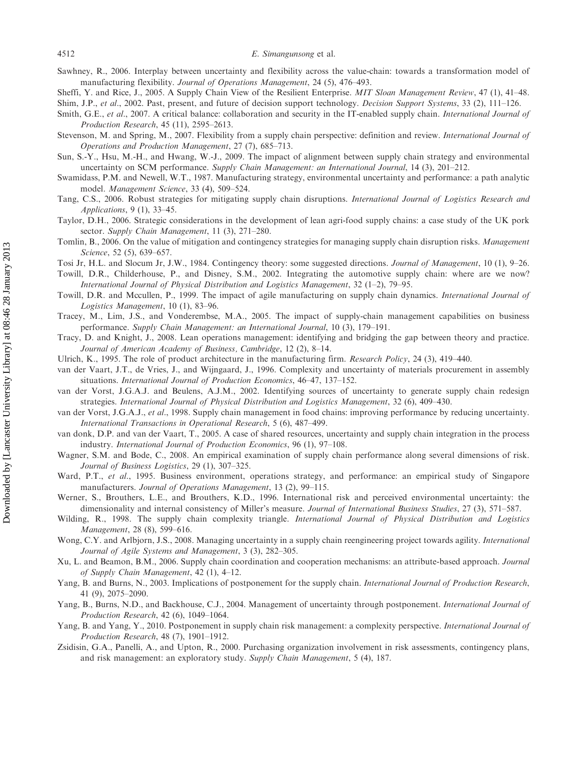- Sawhney, R., 2006. Interplay between uncertainty and flexibility across the value-chain: towards a transformation model of manufacturing flexibility. Journal of Operations Management, 24 (5), 476-493.
- Sheffi, Y. and Rice, J., 2005. A Supply Chain View of the Resilient Enterprise. MIT Sloan Management Review, 47 (1), 41–48. Shim, J.P., et al., 2002. Past, present, and future of decision support technology. *Decision Support Systems*, 33 (2), 111–126.
- Smith, G.E., et al., 2007. A critical balance: collaboration and security in the IT-enabled supply chain. International Journal of Production Research, 45 (11), 2595–2613.
- Stevenson, M. and Spring, M., 2007. Flexibility from a supply chain perspective: definition and review. International Journal of Operations and Production Management, 27 (7), 685–713.
- Sun, S.-Y., Hsu, M.-H., and Hwang, W.-J., 2009. The impact of alignment between supply chain strategy and environmental uncertainty on SCM performance. Supply Chain Management: an International Journal, 14 (3), 201-212.
- Swamidass, P.M. and Newell, W.T., 1987. Manufacturing strategy, environmental uncertainty and performance: a path analytic model. Management Science, 33 (4), 509–524.
- Tang, C.S., 2006. Robust strategies for mitigating supply chain disruptions. International Journal of Logistics Research and Applications, 9 (1), 33–45.
- Taylor, D.H., 2006. Strategic considerations in the development of lean agri-food supply chains: a case study of the UK pork sector. Supply Chain Management, 11 (3), 271-280.
- Tomlin, B., 2006. On the value of mitigation and contingency strategies for managing supply chain disruption risks. Management Science, 52 (5), 639–657.
- Tosi Jr, H.L. and Slocum Jr, J.W., 1984. Contingency theory: some suggested directions. Journal of Management, 10 (1), 9–26.
- Towill, D.R., Childerhouse, P., and Disney, S.M., 2002. Integrating the automotive supply chain: where are we now? International Journal of Physical Distribution and Logistics Management, 32 (1–2), 79–95.
- Towill, D.R. and Mccullen, P., 1999. The impact of agile manufacturing on supply chain dynamics. International Journal of Logistics Management, 10 (1), 83–96.
- Tracey, M., Lim, J.S., and Vonderembse, M.A., 2005. The impact of supply-chain management capabilities on business performance. Supply Chain Management: an International Journal, 10 (3), 179–191.
- Tracy, D. and Knight, J., 2008. Lean operations management: identifying and bridging the gap between theory and practice. Journal of American Academy of Business, Cambridge, 12 (2), 8–14.
- Ulrich, K., 1995. The role of product architecture in the manufacturing firm. *Research Policy*, 24 (3), 419–440.
- van der Vaart, J.T., de Vries, J., and Wijngaard, J., 1996. Complexity and uncertainty of materials procurement in assembly situations. International Journal of Production Economics, 46–47, 137–152.
- van der Vorst, J.G.A.J. and Beulens, A.J.M., 2002. Identifying sources of uncertainty to generate supply chain redesign strategies. International Journal of Physical Distribution and Logistics Management, 32 (6), 409–430.
- van der Vorst, J.G.A.J., et al., 1998. Supply chain management in food chains: improving performance by reducing uncertainty. International Transactions in Operational Research, 5 (6), 487–499.
- van donk, D.P. and van der Vaart, T., 2005. A case of shared resources, uncertainty and supply chain integration in the process industry. International Journal of Production Economics, 96 (1), 97–108.
- Wagner, S.M. and Bode, C., 2008. An empirical examination of supply chain performance along several dimensions of risk. Journal of Business Logistics, 29 (1), 307–325.
- Ward, P.T., et al., 1995. Business environment, operations strategy, and performance: an empirical study of Singapore manufacturers. Journal of Operations Management, 13 (2), 99-115.
- Werner, S., Brouthers, L.E., and Brouthers, K.D., 1996. International risk and perceived environmental uncertainty: the dimensionality and internal consistency of Miller's measure. Journal of International Business Studies, 27 (3), 571–587.
- Wilding, R., 1998. The supply chain complexity triangle. International Journal of Physical Distribution and Logistics Management, 28 (8), 599–616.
- Wong, C.Y. and Arlbjorn, J.S., 2008. Managing uncertainty in a supply chain reengineering project towards agility. International Journal of Agile Systems and Management, 3 (3), 282–305.
- Xu, L. and Beamon, B.M., 2006. Supply chain coordination and cooperation mechanisms: an attribute-based approach. Journal of Supply Chain Management, 42 (1), 4–12.
- Yang, B. and Burns, N., 2003. Implications of postponement for the supply chain. International Journal of Production Research, 41 (9), 2075–2090.
- Yang, B., Burns, N.D., and Backhouse, C.J., 2004. Management of uncertainty through postponement. International Journal of Production Research, 42 (6), 1049–1064.
- Yang, B. and Yang, Y., 2010. Postponement in supply chain risk management: a complexity perspective. *International Journal of* Production Research, 48 (7), 1901–1912.
- Zsidisin, G.A., Panelli, A., and Upton, R., 2000. Purchasing organization involvement in risk assessments, contingency plans, and risk management: an exploratory study. Supply Chain Management, 5 (4), 187.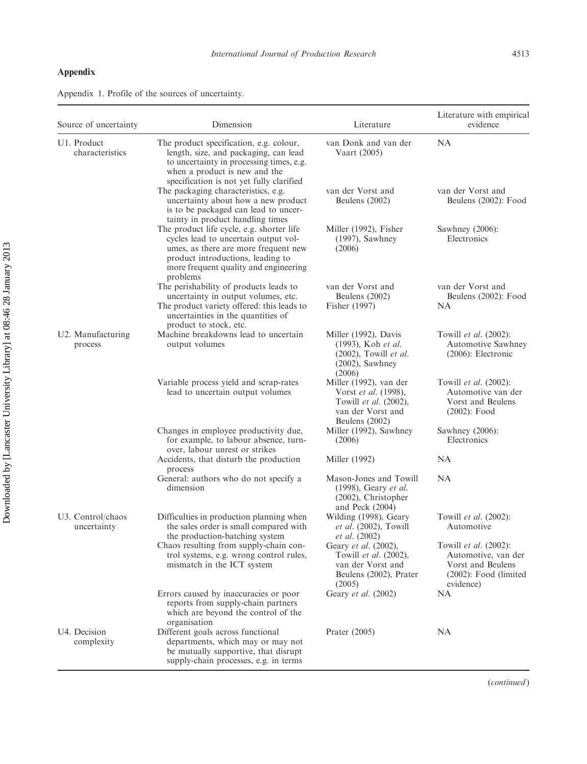# Appendix

| Appendix 1. Profile of the sources of uncertainty. |  |  |  |  |
|----------------------------------------------------|--|--|--|--|
|----------------------------------------------------|--|--|--|--|

| Source of uncertainty            | Dimension                                                                                                                                                                                                           | Literature                                                                                                     | Literature with empirical<br>evidence                                                                       |
|----------------------------------|---------------------------------------------------------------------------------------------------------------------------------------------------------------------------------------------------------------------|----------------------------------------------------------------------------------------------------------------|-------------------------------------------------------------------------------------------------------------|
| U1. Product<br>characteristics   | The product specification, e.g. colour,<br>length, size, and packaging, can lead<br>to uncertainty in processing times, e.g.<br>when a product is new and the<br>specification is not yet fully clarified           | van Donk and van der<br>Vaart (2005)                                                                           | <b>NA</b>                                                                                                   |
|                                  | The packaging characteristics, e.g.<br>uncertainty about how a new product<br>is to be packaged can lead to uncer-<br>tainty in product handling times                                                              | van der Vorst and<br>Beulens $(2002)$                                                                          | van der Vorst and<br>Beulens (2002): Food                                                                   |
|                                  | The product life cycle, e.g. shorter life<br>cycles lead to uncertain output vol-<br>umes, as there are more frequent new<br>product introductions, leading to<br>more frequent quality and engineering<br>problems | Miller (1992), Fisher<br>(1997), Sawhney<br>(2006)                                                             | Sawhney (2006):<br>Electronics                                                                              |
|                                  | The perishability of products leads to<br>uncertainty in output volumes, etc.<br>The product variety offered: this leads to<br>uncertainties in the quantities of<br>product to stock, etc.                         | van der Vorst and<br>Beulens $(2002)$<br>Fisher (1997)                                                         | van der Vorst and<br>Beulens (2002): Food<br>NA                                                             |
| U2. Manufacturing<br>process     | Machine breakdowns lead to uncertain<br>output volumes                                                                                                                                                              | Miller (1992), Davis<br>(1993), Koh et al.<br>$(2002)$ , Towill <i>et al.</i><br>$(2002)$ , Sawhney<br>(2006)  | Towill et al. (2002):<br>Automotive Sawhney<br>$(2006)$ : Electronic                                        |
|                                  | Variable process yield and scrap-rates<br>lead to uncertain output volumes                                                                                                                                          | Miller (1992), van der<br>Vorst et al. (1998),<br>Towill et al. (2002),<br>van der Vorst and<br>Beulens (2002) | Towill et al. (2002):<br>Automotive van der<br>Vorst and Beulens<br>$(2002)$ : Food                         |
|                                  | Changes in employee productivity due,<br>for example, to labour absence, turn-<br>over, labour unrest or strikes                                                                                                    | Miller (1992), Sawhney<br>(2006)                                                                               | Sawhney (2006):<br>Electronics                                                                              |
|                                  | Accidents, that disturb the production<br>process                                                                                                                                                                   | Miller (1992)                                                                                                  | <b>NA</b>                                                                                                   |
|                                  | General: authors who do not specify a<br>dimension                                                                                                                                                                  | Mason-Jones and Towill<br>(1998), Geary et al.<br>(2002), Christopher<br>and Peck $(2004)$                     | <b>NA</b>                                                                                                   |
| U3. Control/chaos<br>uncertainty | Difficulties in production planning when<br>the sales order is small compared with<br>the production-batching system                                                                                                | Wilding (1998), Geary<br>et al. (2002), Towill<br><i>et al.</i> (2002)                                         | Towill et al. (2002):<br>Automotive                                                                         |
|                                  | Chaos resulting from supply-chain con-<br>trol systems, e.g. wrong control rules,<br>mismatch in the ICT system                                                                                                     | Geary et al. (2002),<br>Towill et al. (2002),<br>van der Vorst and<br>Beulens (2002), Prater<br>(2005)         | Towill et al. (2002):<br>Automotive, van der<br>Vorst and Beulens<br>$(2002)$ : Food (limited)<br>evidence) |
|                                  | Errors caused by inaccuracies or poor<br>reports from supply-chain partners<br>which are beyond the control of the<br>organisation                                                                                  | Geary et al. (2002)                                                                                            | NA                                                                                                          |
| U4. Decision<br>complexity       | Different goals across functional<br>departments, which may or may not<br>be mutually supportive, that disrupt<br>supply-chain processes, e.g. in terms                                                             | Prater (2005)                                                                                                  | <b>NA</b>                                                                                                   |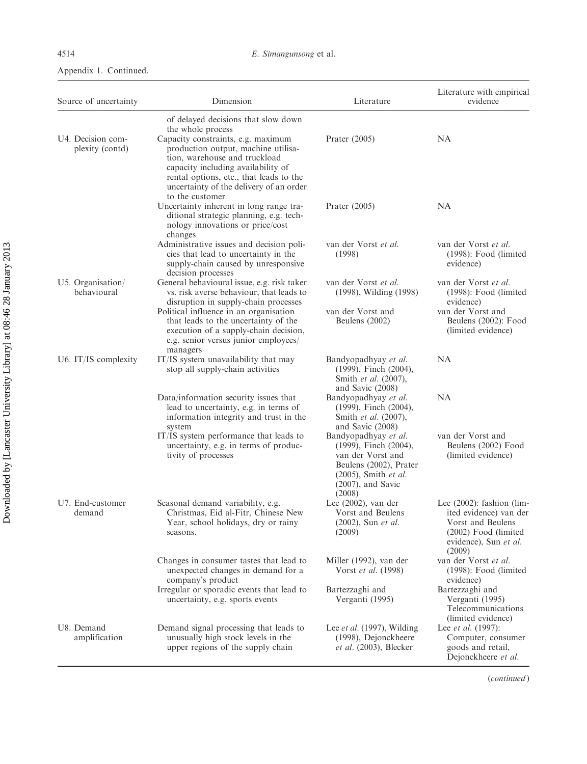# Appendix 1. Continued.

| Source of uncertainty                | Dimension                                                                                                                                                                                                                                                 | Literature                                                                                                                                                       | Literature with empirical<br>evidence                                                                                                  |
|--------------------------------------|-----------------------------------------------------------------------------------------------------------------------------------------------------------------------------------------------------------------------------------------------------------|------------------------------------------------------------------------------------------------------------------------------------------------------------------|----------------------------------------------------------------------------------------------------------------------------------------|
|                                      | of delayed decisions that slow down<br>the whole process                                                                                                                                                                                                  |                                                                                                                                                                  |                                                                                                                                        |
| U4. Decision com-<br>plexity (contd) | Capacity constraints, e.g. maximum<br>production output, machine utilisa-<br>tion, warehouse and truckload<br>capacity including availability of<br>rental options, etc., that leads to the<br>uncertainty of the delivery of an order<br>to the customer | Prater $(2005)$                                                                                                                                                  | <b>NA</b>                                                                                                                              |
|                                      | Uncertainty inherent in long range tra-<br>ditional strategic planning, e.g. tech-<br>nology innovations or price/cost<br>changes                                                                                                                         | Prater $(2005)$                                                                                                                                                  | NA                                                                                                                                     |
|                                      | Administrative issues and decision poli-<br>cies that lead to uncertainty in the<br>supply-chain caused by unresponsive<br>decision processes                                                                                                             | van der Vorst et al.<br>(1998)                                                                                                                                   | van der Vorst et al.<br>$(1998)$ : Food (limited<br>evidence)                                                                          |
| U5. Organisation/<br>behavioural     | General behavioural issue, e.g. risk taker<br>vs. risk averse behaviour, that leads to<br>disruption in supply-chain processes                                                                                                                            | van der Vorst et al.<br>(1998), Wilding (1998)                                                                                                                   | van der Vorst et al.<br>$(1998)$ : Food (limited)<br>evidence)                                                                         |
|                                      | Political influence in an organisation<br>that leads to the uncertainty of the<br>execution of a supply-chain decision,<br>e.g. senior versus junior employees/<br>managers                                                                               | van der Vorst and<br>Beulens $(2002)$                                                                                                                            | van der Vorst and<br>Beulens (2002): Food<br>(limited evidence)                                                                        |
| U6. IT/IS complexity                 | IT/IS system unavailability that may<br>stop all supply-chain activities                                                                                                                                                                                  | Bandyopadhyay et al.<br>(1999), Finch (2004),<br>Smith et al. (2007),<br>and Savic (2008)                                                                        | NA                                                                                                                                     |
|                                      | Data/information security issues that<br>lead to uncertainty, e.g. in terms of<br>information integrity and trust in the<br>system                                                                                                                        | Bandyopadhyay et al.<br>(1999), Finch (2004),<br>Smith et al. (2007),<br>and Savic (2008)                                                                        | <b>NA</b>                                                                                                                              |
|                                      | IT/IS system performance that leads to<br>uncertainty, e.g. in terms of produc-<br>tivity of processes                                                                                                                                                    | Bandyopadhyay et al.<br>(1999), Finch (2004),<br>van der Vorst and<br>Beulens (2002), Prater<br>$(2005)$ , Smith <i>et al.</i><br>$(2007)$ , and Savic<br>(2008) | van der Vorst and<br>Beulens (2002) Food<br>(limited evidence)                                                                         |
| U7. End-customer<br>demand           | Seasonal demand variability, e.g.<br>Christmas, Eid al-Fitr, Chinese New<br>Year, school holidays, dry or rainy<br>seasons.                                                                                                                               | Lee $(2002)$ , van der<br>Vorst and Beulens<br>(2002), Sun et al.<br>(2009)                                                                                      | Lee $(2002)$ : fashion (lim-<br>ited evidence) van der<br>Vorst and Beulens<br>(2002) Food (limited<br>evidence), Sun et al.<br>(2009) |
|                                      | Changes in consumer tastes that lead to<br>unexpected changes in demand for a<br>company's product                                                                                                                                                        | Miller (1992), van der<br>Vorst et al. (1998)                                                                                                                    | van der Vorst et al.<br>$(1998)$ : Food (limited)<br>evidence)                                                                         |
|                                      | Irregular or sporadic events that lead to<br>uncertainty, e.g. sports events                                                                                                                                                                              | Bartezzaghi and<br>Verganti (1995)                                                                                                                               | Bartezzaghi and<br>Verganti (1995)<br>Telecommunications<br>(limited evidence)                                                         |
| U8. Demand<br>amplification          | Demand signal processing that leads to<br>unusually high stock levels in the<br>upper regions of the supply chain                                                                                                                                         | Lee et al. (1997), Wilding<br>(1998), Dejonckheere<br>et al. (2003), Blecker                                                                                     | Lee et al. (1997):<br>Computer, consumer<br>goods and retail,<br>Dejonckheere et al.                                                   |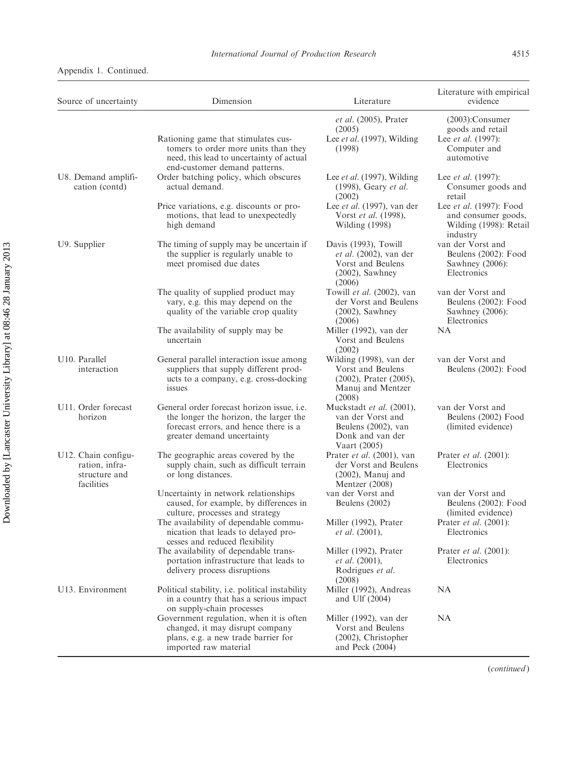Appendix 1. Continued.

| Source of uncertainty                                                | Dimension                                                                                                                                                          | Literature                                                                                               | Literature with empirical<br>evidence                                                      |
|----------------------------------------------------------------------|--------------------------------------------------------------------------------------------------------------------------------------------------------------------|----------------------------------------------------------------------------------------------------------|--------------------------------------------------------------------------------------------|
|                                                                      | Rationing game that stimulates cus-<br>tomers to order more units than they<br>need, this lead to uncertainty of actual<br>end-customer demand patterns.           | <i>et al.</i> (2005), Prater<br>(2005)<br>Lee et al. (1997), Wilding<br>(1998)                           | $(2003)$ :Consumer<br>goods and retail<br>Lee et al. (1997):<br>Computer and<br>automotive |
| U8. Demand amplifi-<br>cation (contd)                                | Order batching policy, which obscures<br>actual demand.                                                                                                            | Lee et al. (1997), Wilding<br>(1998), Geary et al.<br>(2002)                                             | Lee <i>et al.</i> (1997):<br>Consumer goods and<br>retail                                  |
|                                                                      | Price variations, e.g. discounts or pro-<br>motions, that lead to unexpectedly<br>high demand                                                                      | Lee et al. (1997), van der<br>Vorst et al. (1998),<br><b>Wilding (1998)</b>                              | Lee et al. (1997): Food<br>and consumer goods,<br>Wilding (1998): Retail<br>industry       |
| U9. Supplier                                                         | The timing of supply may be uncertain if<br>the supplier is regularly unable to<br>meet promised due dates                                                         | Davis (1993), Towill<br>et al. (2002), van der<br>Vorst and Beulens<br>$(2002)$ , Sawhney<br>(2006)      | van der Vorst and<br>Beulens (2002): Food<br>Sawhney (2006):<br>Electronics                |
|                                                                      | The quality of supplied product may<br>vary, e.g. this may depend on the<br>quality of the variable crop quality                                                   | Towill et al. (2002), van<br>der Vorst and Beulens<br>$(2002)$ , Sawhney<br>(2006)                       | van der Vorst and<br>Beulens (2002): Food<br>Sawhney (2006):<br>Electronics                |
|                                                                      | The availability of supply may be<br>uncertain                                                                                                                     | Miller (1992), van der<br>Vorst and Beulens<br>(2002)                                                    | NA                                                                                         |
| U10. Parallel<br>interaction                                         | General parallel interaction issue among<br>suppliers that supply different prod-<br>ucts to a company, e.g. cross-docking<br>issues                               | Wilding (1998), van der<br>Vorst and Beulens<br>(2002), Prater (2005),<br>Manuj and Mentzer<br>(2008)    | van der Vorst and<br>Beulens (2002): Food                                                  |
| U11. Order forecast<br>horizon                                       | General order forecast horizon issue, <i>i.e.</i><br>the longer the horizon, the larger the<br>forecast errors, and hence there is a<br>greater demand uncertainty | Muckstadt et al. (2001),<br>van der Vorst and<br>Beulens (2002), van<br>Donk and van der<br>Vaart (2005) | van der Vorst and<br>Beulens (2002) Food<br>(limited evidence)                             |
| U12. Chain configu-<br>ration, infra-<br>structure and<br>facilities | The geographic areas covered by the<br>supply chain, such as difficult terrain<br>or long distances.                                                               | Prater et al. (2001), van<br>der Vorst and Beulens<br>$(2002)$ , Manuj and<br>Mentzer (2008)             | Prater et al. (2001):<br>Electronics                                                       |
|                                                                      | Uncertainty in network relationships<br>caused, for example, by differences in<br>culture, processes and strategy                                                  | van der Vorst and<br>Beulens $(2002)$                                                                    | van der Vorst and<br>Beulens (2002): Food<br>(limited evidence)                            |
|                                                                      | The availability of dependable commu-<br>nication that leads to delayed pro-<br>cesses and reduced flexibility                                                     | Miller (1992), Prater<br>et al. (2001),                                                                  | Prater et al. (2001):<br>Electronics                                                       |
|                                                                      | The availability of dependable trans-<br>portation infrastructure that leads to<br>delivery process disruptions                                                    | Miller (1992), Prater<br>et al. (2001),<br>Rodrigues et al.<br>(2008)                                    | Prater <i>et al.</i> (2001):<br>Electronics                                                |
| U13. Environment                                                     | Political stability, i.e. political instability<br>in a country that has a serious impact<br>on supply-chain processes                                             | Miller (1992), Andreas<br>and Ulf $(2004)$                                                               | <b>NA</b>                                                                                  |
|                                                                      | Government regulation, when it is often<br>changed, it may disrupt company<br>plans, e.g. a new trade barrier for<br>imported raw material                         | Miller (1992), van der<br>Vorst and Beulens<br>$(2002)$ , Christopher<br>and Peck $(2004)$               | <b>NA</b>                                                                                  |

Downloaded by [Lancaster University Library] at 08:46 28 January 2013 Downloaded by [Lancaster University Library] at 08:46 28 January 2013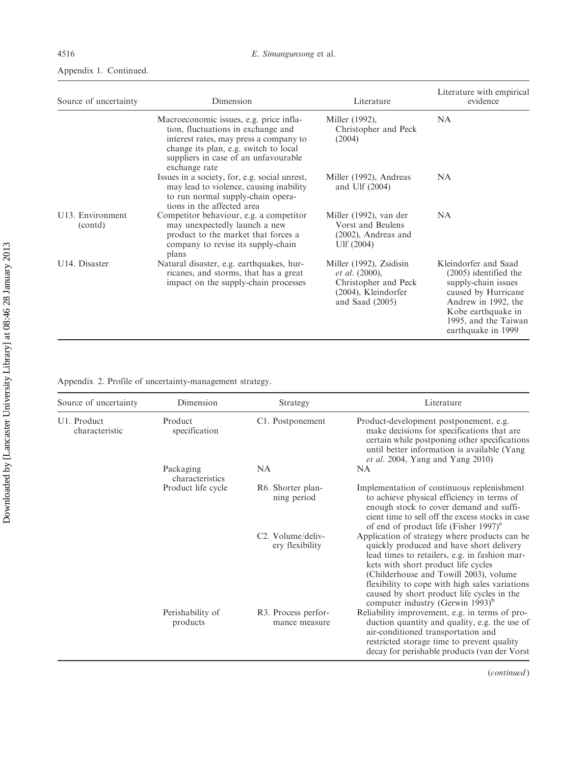4516 E. Simangunsong et al.

# Appendix 1. Continued.

| Source of uncertainty       | Dimension                                                                                                                                                                                                                 | Literature                                                                                                              | Literature with empirical<br>evidence                                                                                                                                                    |  |
|-----------------------------|---------------------------------------------------------------------------------------------------------------------------------------------------------------------------------------------------------------------------|-------------------------------------------------------------------------------------------------------------------------|------------------------------------------------------------------------------------------------------------------------------------------------------------------------------------------|--|
|                             | Macroeconomic issues, e.g. price infla-<br>tion, fluctuations in exchange and<br>interest rates, may press a company to<br>change its plan, e.g. switch to local<br>suppliers in case of an unfavourable<br>exchange rate | Miller (1992),<br>Christopher and Peck<br>(2004)                                                                        | NA.                                                                                                                                                                                      |  |
|                             | Issues in a society, for, e.g. social unrest,<br>may lead to violence, causing inability<br>to run normal supply-chain opera-<br>tions in the affected area                                                               | Miller (1992), Andreas<br>and Ulf $(2004)$                                                                              | <b>NA</b>                                                                                                                                                                                |  |
| U13. Environment<br>(contd) | Competitor behaviour, e.g. a competitor<br>may unexpectedly launch a new<br>product to the market that forces a<br>company to revise its supply-chain<br>plans                                                            | Miller (1992), van der<br>Vorst and Beulens<br>(2002), Andreas and<br>Ulf (2004)                                        | <b>NA</b>                                                                                                                                                                                |  |
| U14. Disaster               | Natural disaster, e.g. earthquakes, hur-<br>ricanes, and storms, that has a great<br>impact on the supply-chain processes                                                                                                 | Miller (1992), Zsidisin<br><i>et al.</i> (2000),<br>Christopher and Peck<br>$(2004)$ , Kleindorfer<br>and Saad $(2005)$ | Kleindorfer and Saad<br>$(2005)$ identified the<br>supply-chain issues<br>caused by Hurricane<br>Andrew in 1992, the<br>Kobe earthquake in<br>1995, and the Taiwan<br>earthquake in 1999 |  |

|  |  | Appendix 2. Profile of uncertainty-management strategy. |  |
|--|--|---------------------------------------------------------|--|
|--|--|---------------------------------------------------------|--|

| Source of uncertainty         | Dimension                    | Strategy                                          | Literature                                                                                                                                                                                                                                                                                                                                                         |
|-------------------------------|------------------------------|---------------------------------------------------|--------------------------------------------------------------------------------------------------------------------------------------------------------------------------------------------------------------------------------------------------------------------------------------------------------------------------------------------------------------------|
| U1. Product<br>characteristic | Product<br>specification     | C1. Postponement                                  | Product-development postponement, e.g.<br>make decisions for specifications that are<br>certain while postponing other specifications<br>until better information is available (Yang<br><i>et al.</i> 2004, Yang and Yang 2010)                                                                                                                                    |
|                               | Packaging<br>characteristics | <b>NA</b>                                         | <b>NA</b>                                                                                                                                                                                                                                                                                                                                                          |
|                               | Product life cycle           | R <sub>6</sub> . Shorter plan-<br>ning period     | Implementation of continuous replenishment<br>to achieve physical efficiency in terms of<br>enough stock to cover demand and suffi-<br>cient time to sell off the excess stocks in case<br>of end of product life (Fisher 1997) <sup>a</sup>                                                                                                                       |
|                               |                              | C <sub>2</sub> . Volume/deliv-<br>ery flexibility | Application of strategy where products can be<br>quickly produced and have short delivery<br>lead times to retailers, e.g. in fashion mar-<br>kets with short product life cycles<br>(Childerhouse and Towill 2003), volume<br>flexibility to cope with high sales variations<br>caused by short product life cycles in the<br>computer industry (Gerwin 1993) $b$ |
|                               | Perishability of<br>products | R <sub>3</sub> . Process perfor-<br>mance measure | Reliability improvement, e.g. in terms of pro-<br>duction quantity and quality, e.g. the use of<br>air-conditioned transportation and<br>restricted storage time to prevent quality<br>decay for perishable products (van der Vorst                                                                                                                                |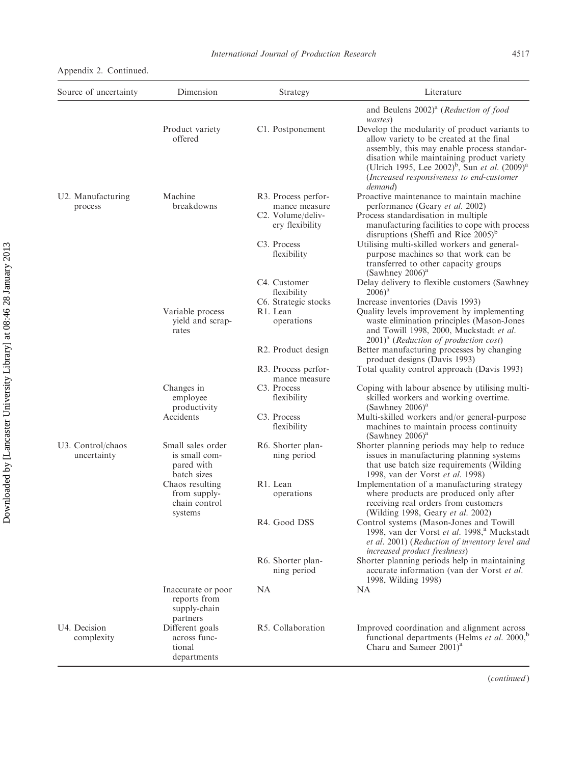Appendix 2. Continued.

| Source of uncertainty            | Dimension                                                                                                                      | Strategy                                                                                                                      | Literature                                                                                                                                                                                                                                                                                                                                                                                                                                                                                                                                                                                                                                                         |
|----------------------------------|--------------------------------------------------------------------------------------------------------------------------------|-------------------------------------------------------------------------------------------------------------------------------|--------------------------------------------------------------------------------------------------------------------------------------------------------------------------------------------------------------------------------------------------------------------------------------------------------------------------------------------------------------------------------------------------------------------------------------------------------------------------------------------------------------------------------------------------------------------------------------------------------------------------------------------------------------------|
|                                  | Product variety<br>offered                                                                                                     | C1. Postponement                                                                                                              | and Beulens $2002)^{a}$ ( <i>Reduction of food</i><br>wastes)<br>Develop the modularity of product variants to<br>allow variety to be created at the final<br>assembly, this may enable process standar-<br>disation while maintaining product variety<br>(Ulrich 1995, Lee 2002) <sup>b</sup> , Sun et al. $(2009)^{a}$<br>(Increased responsiveness to end-customer                                                                                                                                                                                                                                                                                              |
| U2. Manufacturing<br>process     | Machine<br>breakdowns                                                                                                          | R3. Process perfor-<br>mance measure<br>C2. Volume/deliv-<br>ery flexibility<br>C <sub>3</sub> . Process<br>flexibility       | demand)<br>Proactive maintenance to maintain machine<br>performance (Geary et al. 2002)<br>Process standardisation in multiple<br>manufacturing facilities to cope with process<br>disruptions (Sheffi and Rice $2005$ <sup>b</sup><br>Utilising multi-skilled workers and general-<br>purpose machines so that work can be<br>transferred to other capacity groups<br>(Sawhney $2006$ ) <sup>a</sup>                                                                                                                                                                                                                                                              |
|                                  | Variable process<br>yield and scrap-<br>rates                                                                                  | C4. Customer<br>flexibility<br>C6. Strategic stocks<br>R <sub>1</sub> . Lean<br>operations<br>R <sub>2</sub> . Product design | Delay delivery to flexible customers (Sawhney<br>$2006)^{a}$<br>Increase inventories (Davis 1993)<br>Quality levels improvement by implementing<br>waste elimination principles (Mason-Jones<br>and Towill 1998, 2000, Muckstadt et al.<br>$(2001)^{a}$ (Reduction of production cost)<br>Better manufacturing processes by changing<br>product designs (Davis 1993)                                                                                                                                                                                                                                                                                               |
|                                  | Changes in<br>employee<br>productivity<br>Accidents                                                                            | R3. Process perfor-<br>mance measure<br>C <sub>3</sub> . Process<br>flexibility<br>C <sub>3</sub> . Process<br>flexibility    | Total quality control approach (Davis 1993)<br>Coping with labour absence by utilising multi-<br>skilled workers and working overtime.<br>(Sawhney $2006$ ) <sup>a</sup><br>Multi-skilled workers and/or general-purpose<br>machines to maintain process continuity                                                                                                                                                                                                                                                                                                                                                                                                |
| U3. Control/chaos<br>uncertainty | Small sales order<br>is small com-<br>pared with<br>batch sizes<br>Chaos resulting<br>from supply-<br>chain control<br>systems | R6. Shorter plan-<br>ning period<br>R <sub>1</sub> . Lean<br>operations<br>R4. Good DSS<br>R6. Shorter plan-<br>ning period   | (Sawhney 2006) <sup>a</sup><br>Shorter planning periods may help to reduce<br>issues in manufacturing planning systems<br>that use batch size requirements (Wilding<br>1998, van der Vorst et al. 1998)<br>Implementation of a manufacturing strategy<br>where products are produced only after<br>receiving real orders from customers<br>(Wilding 1998, Geary et al. 2002)<br>Control systems (Mason-Jones and Towill<br>1998, van der Vorst et al. 1998, <sup>a</sup> Muckstadt<br>et al. 2001) (Reduction of inventory level and<br>increased product freshness)<br>Shorter planning periods help in maintaining<br>accurate information (van der Vorst et al. |
|                                  | Inaccurate or poor<br>reports from<br>supply-chain                                                                             | <b>NA</b>                                                                                                                     | 1998, Wilding 1998)<br><b>NA</b>                                                                                                                                                                                                                                                                                                                                                                                                                                                                                                                                                                                                                                   |
| U4. Decision<br>complexity       | partners<br>Different goals<br>across func-<br>tional<br>departments                                                           | R5. Collaboration                                                                                                             | Improved coordination and alignment across<br>functional departments (Helms et al. 2000, <sup>b</sup><br>Charu and Sameer 2001) <sup>a</sup>                                                                                                                                                                                                                                                                                                                                                                                                                                                                                                                       |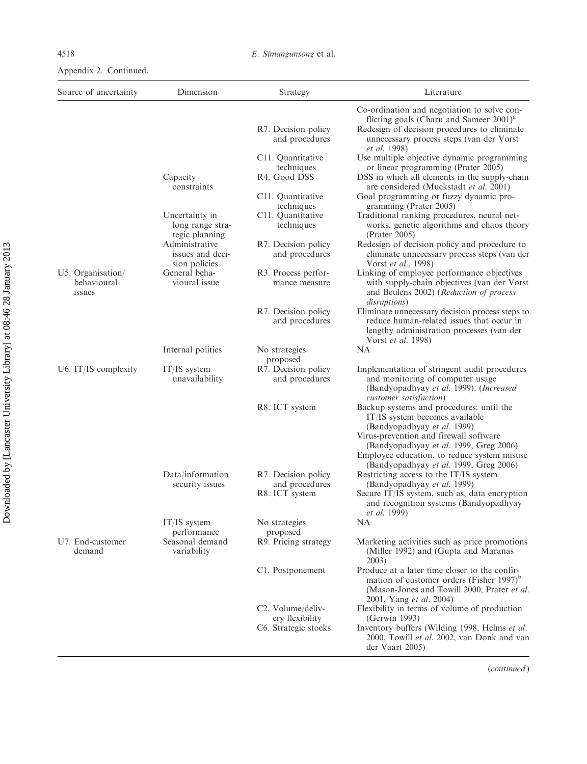Appendix 2. Continued.

| Source of uncertainty                      | Dimension                                            | Strategy                                        | Literature                                                                                                                                                                                                     |
|--------------------------------------------|------------------------------------------------------|-------------------------------------------------|----------------------------------------------------------------------------------------------------------------------------------------------------------------------------------------------------------------|
|                                            |                                                      | R7. Decision policy<br>and procedures           | Co-ordination and negotiation to solve con-<br>flicting goals (Charu and Sameer 2001) <sup>a</sup><br>Redesign of decision procedures to eliminate<br>unnecessary process steps (van der Vorst<br>et al. 1998) |
|                                            | Capacity<br>constraints                              | C11. Quantitative<br>techniques<br>R4. Good DSS | Use multiple objective dynamic programming<br>or linear programming (Prater 2005)<br>DSS in which all elements in the supply-chain<br>are considered (Muckstadt et al. 2001)                                   |
|                                            |                                                      | C11. Quantitative<br>techniques                 | Goal programming or fuzzy dynamic pro-<br>gramming (Prater 2005)                                                                                                                                               |
|                                            | Uncertainty in<br>long range stra-<br>tegic planning | C11. Quantitative<br>techniques                 | Traditional ranking procedures, neural net-<br>works, genetic algorithms and chaos theory<br>(Prater 2005)                                                                                                     |
|                                            | Administrative<br>issues and deci-<br>sion policies  | R7. Decision policy<br>and procedures           | Redesign of decision policy and procedure to<br>eliminate unnecessary process steps (van der<br>Vorst et al., 1998)                                                                                            |
| U5. Organisation/<br>behavioural<br>issues | General beha-<br>vioural issue                       | R3. Process perfor-<br>mance measure            | Linking of employee performance objectives<br>with supply-chain objectives (van der Vorst<br>and Beulens 2002) (Reduction of process<br>disruptions)                                                           |
|                                            |                                                      | R7. Decision policy<br>and procedures           | Eliminate unnecessary decision process steps to<br>reduce human-related issues that occur in<br>lengthy administration processes (van der<br>Vorst et al. 1998)                                                |
|                                            | Internal politics                                    | No strategies<br>proposed                       | NA                                                                                                                                                                                                             |
| U6. IT/IS complexity                       | $IT/IS$ system<br>unavailability                     | R7. Decision policy<br>and procedures           | Implementation of stringent audit procedures<br>and monitoring of computer usage<br>(Bandyopadhyay et al. 1999). (Increased<br>customer satisfaction)                                                          |
|                                            |                                                      | R8. ICT system                                  | Backup systems and procedures: until the<br>IT/IS system becomes available<br>(Bandyopadhyay et al. 1999)<br>Virus-prevention and firewall software                                                            |
|                                            |                                                      |                                                 | (Bandyopadhyay et al. 1999, Greg 2006)<br>Employee education, to reduce system misuse                                                                                                                          |
|                                            | Data/information<br>security issues                  | R7. Decision policy<br>and procedures           | (Bandyopadhyay et al. 1999, Greg 2006)<br>Restricting access to the IT/IS system<br>(Bandyopadhyay et al. 1999)                                                                                                |
|                                            |                                                      | R8. ICT system                                  | Secure IT/IS system, such as, data encryption<br>and recognition systems (Bandyopadhyay<br>et al. 1999)                                                                                                        |
|                                            | IT/IS system<br>performance                          | No strategies<br>proposed                       | <b>NA</b>                                                                                                                                                                                                      |
| U7. End-customer<br>demand                 | Seasonal demand<br>variability                       | R9. Pricing strategy                            | Marketing activities such as price promotions<br>(Miller 1992) and (Gupta and Maranas<br>2003)                                                                                                                 |
|                                            |                                                      | C1. Postponement                                | Produce at a later time closer to the confir-<br>mation of customer orders (Fisher 1997) <sup>b</sup><br>(Mason-Jones and Towill 2000, Prater et al.<br>2001, Yang et al. 2004)                                |
|                                            |                                                      | C2. Volume/deliv-<br>ery flexibility            | Flexibility in terms of volume of production<br>(Gerwin 1993)                                                                                                                                                  |
|                                            |                                                      | C6. Strategic stocks                            | Inventory buffers (Wilding 1998, Helms et al.<br>2000, Towill et al. 2002, van Donk and van<br>der Vaart 2005)                                                                                                 |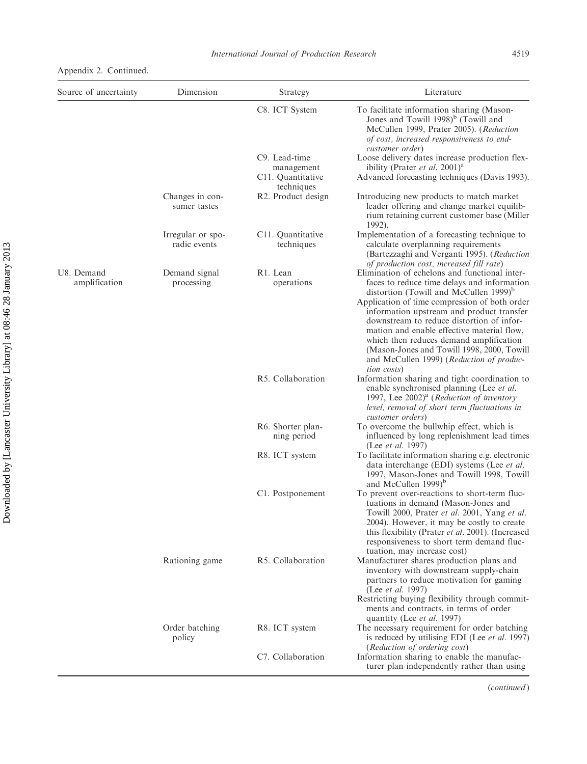Appendix 2. Continued.

| Source of uncertainty       | Dimension                         | Strategy                                                       | Literature                                                                                                                                                                                                                                                                                                                                                                                                                                                                                      |
|-----------------------------|-----------------------------------|----------------------------------------------------------------|-------------------------------------------------------------------------------------------------------------------------------------------------------------------------------------------------------------------------------------------------------------------------------------------------------------------------------------------------------------------------------------------------------------------------------------------------------------------------------------------------|
|                             |                                   | C8. ICT System                                                 | To facilitate information sharing (Mason-<br>Jones and Towill 1998) <sup>b</sup> (Towill and<br>McCullen 1999, Prater 2005). (Reduction<br>of cost, increased responsiveness to end-<br>customer order)                                                                                                                                                                                                                                                                                         |
|                             |                                   | C9. Lead-time<br>management<br>C11. Quantitative<br>techniques | Loose delivery dates increase production flex-<br>ibility (Prater <i>et al.</i> 2001) <sup>a</sup><br>Advanced forecasting techniques (Davis 1993).                                                                                                                                                                                                                                                                                                                                             |
|                             | Changes in con-<br>sumer tastes   | R <sub>2</sub> . Product design                                | Introducing new products to match market<br>leader offering and change market equilib-<br>rium retaining current customer base (Miller<br>1992).                                                                                                                                                                                                                                                                                                                                                |
|                             | Irregular or spo-<br>radic events | C11. Quantitative<br>techniques                                | Implementation of a forecasting technique to<br>calculate overplanning requirements<br>(Bartezzaghi and Verganti 1995). (Reduction<br>of production cost, increased fill rate)                                                                                                                                                                                                                                                                                                                  |
| U8. Demand<br>amplification | Demand signal<br>processing       | R <sub>1</sub> . Lean<br>operations                            | Elimination of echelons and functional inter-<br>faces to reduce time delays and information<br>distortion (Towill and McCullen 1999) <sup>b</sup><br>Application of time compression of both order<br>information upstream and product transfer<br>downstream to reduce distortion of infor-<br>mation and enable effective material flow,<br>which then reduces demand amplification<br>(Mason-Jones and Towill 1998, 2000, Towill<br>and McCullen 1999) (Reduction of produc-<br>tion costs) |
|                             |                                   | R5. Collaboration                                              | Information sharing and tight coordination to<br>enable synchronised planning (Lee et al.<br>1997, Lee $2002)^a$ ( <i>Reduction of inventory</i><br>level, removal of short term fluctuations in<br>customer orders)                                                                                                                                                                                                                                                                            |
|                             |                                   | R6. Shorter plan-<br>ning period                               | To overcome the bullwhip effect, which is<br>influenced by long replenishment lead times<br>(Lee et al. 1997)                                                                                                                                                                                                                                                                                                                                                                                   |
|                             |                                   | R8. ICT system                                                 | To facilitate information sharing e.g. electronic<br>data interchange (EDI) systems (Lee et al.<br>1997, Mason-Jones and Towill 1998, Towill<br>and McCullen 1999) <sup>b</sup>                                                                                                                                                                                                                                                                                                                 |
|                             |                                   | C1. Postponement                                               | To prevent over-reactions to short-term fluc-<br>tuations in demand (Mason-Jones and<br>Towill 2000, Prater et al. 2001, Yang et al.<br>2004). However, it may be costly to create<br>this flexibility (Prater et al. 2001). (Increased<br>responsiveness to short term demand fluc-<br>tuation, may increase cost)                                                                                                                                                                             |
|                             | Rationing game                    | R5. Collaboration                                              | Manufacturer shares production plans and<br>inventory with downstream supply-chain<br>partners to reduce motivation for gaming<br>(Lee et al. 1997)<br>Restricting buying flexibility through commit-<br>ments and contracts, in terms of order                                                                                                                                                                                                                                                 |
|                             | Order batching<br>policy          | R8. ICT system                                                 | quantity (Lee et al. 1997)<br>The necessary requirement for order batching<br>is reduced by utilising EDI (Lee et al. 1997)                                                                                                                                                                                                                                                                                                                                                                     |
|                             |                                   | C7. Collaboration                                              | (Reduction of ordering cost)<br>Information sharing to enable the manufac-<br>turer plan independently rather than using                                                                                                                                                                                                                                                                                                                                                                        |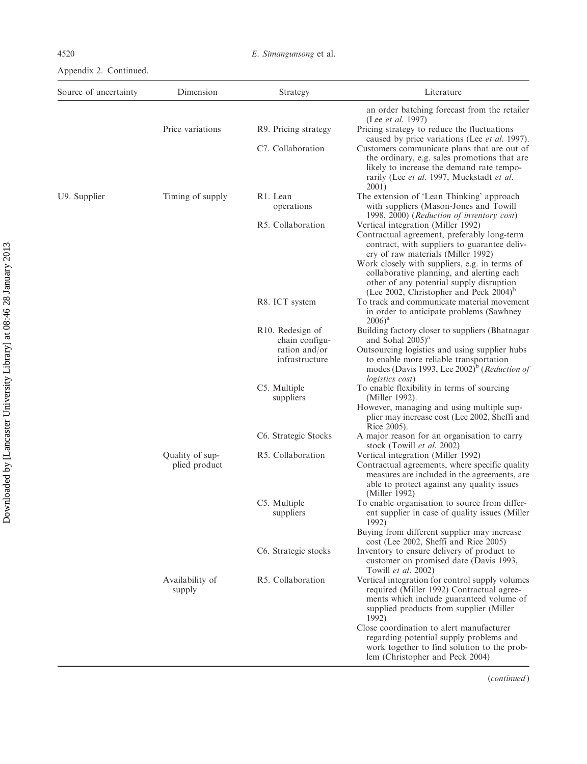Appendix 2. Continued.

| Source of uncertainty | Dimension                        | Strategy                                            | Literature                                                                                                                                                                                                                                                                                                                                                                 |
|-----------------------|----------------------------------|-----------------------------------------------------|----------------------------------------------------------------------------------------------------------------------------------------------------------------------------------------------------------------------------------------------------------------------------------------------------------------------------------------------------------------------------|
|                       | Price variations                 | R9. Pricing strategy                                | an order batching forecast from the retailer<br>(Lee <i>et al.</i> 1997)<br>Pricing strategy to reduce the fluctuations                                                                                                                                                                                                                                                    |
|                       |                                  | C7. Collaboration                                   | caused by price variations (Lee et al. 1997).<br>Customers communicate plans that are out of<br>the ordinary, e.g. sales promotions that are<br>likely to increase the demand rate tempo-<br>rarily (Lee et al. 1997, Muckstadt et al.<br>2001)                                                                                                                            |
| U9. Supplier          | Timing of supply                 | R <sub>1</sub> . Lean<br>operations                 | The extension of 'Lean Thinking' approach<br>with suppliers (Mason-Jones and Towill<br>1998, 2000) (Reduction of inventory cost)                                                                                                                                                                                                                                           |
|                       |                                  | R5. Collaboration                                   | Vertical integration (Miller 1992)<br>Contractual agreement, preferably long-term<br>contract, with suppliers to guarantee deliv-<br>ery of raw materials (Miller 1992)<br>Work closely with suppliers, e.g. in terms of<br>collaborative planning, and alerting each<br>other of any potential supply disruption<br>(Lee 2002, Christopher and Peck $2004$ ) <sup>b</sup> |
|                       |                                  | R8. ICT system                                      | To track and communicate material movement<br>in order to anticipate problems (Sawhney<br>$2006)^{a}$                                                                                                                                                                                                                                                                      |
|                       |                                  | R10. Redesign of<br>chain configu-<br>ration and/or | Building factory closer to suppliers (Bhatnagar)<br>and Sohal $2005)^a$<br>Outsourcing logistics and using supplier hubs                                                                                                                                                                                                                                                   |
|                       |                                  | infrastructure                                      | to enable more reliable transportation<br>modes (Davis 1993, Lee 2002) <sup>b</sup> ( <i>Reduction of</i><br><i>logistics</i> cost)                                                                                                                                                                                                                                        |
|                       |                                  | C5. Multiple<br>suppliers                           | To enable flexibility in terms of sourcing<br>(Miller 1992).<br>However, managing and using multiple sup-<br>plier may increase cost (Lee 2002, Sheffi and<br>Rice 2005).                                                                                                                                                                                                  |
|                       |                                  | C6. Strategic Stocks                                | A major reason for an organisation to carry<br>stock (Towill et al. 2002)                                                                                                                                                                                                                                                                                                  |
|                       | Quality of sup-<br>plied product | R5. Collaboration                                   | Vertical integration (Miller 1992)<br>Contractual agreements, where specific quality<br>measures are included in the agreements, are<br>able to protect against any quality issues<br>(Miller 1992)                                                                                                                                                                        |
|                       |                                  | C5. Multiple<br>suppliers                           | To enable organisation to source from differ-<br>ent supplier in case of quality issues (Miller<br>1992)                                                                                                                                                                                                                                                                   |
|                       |                                  | C6. Strategic stocks                                | Buying from different supplier may increase<br>cost (Lee 2002, Sheffi and Rice 2005)<br>Inventory to ensure delivery of product to<br>customer on promised date (Davis 1993,<br>Towill et al. 2002)                                                                                                                                                                        |
|                       | Availability of<br>supply        | R5. Collaboration                                   | Vertical integration for control supply volumes<br>required (Miller 1992) Contractual agree-<br>ments which include guaranteed volume of<br>supplied products from supplier (Miller<br>1992)                                                                                                                                                                               |
|                       |                                  |                                                     | Close coordination to alert manufacturer<br>regarding potential supply problems and<br>work together to find solution to the prob-<br>lem (Christopher and Peck 2004)                                                                                                                                                                                                      |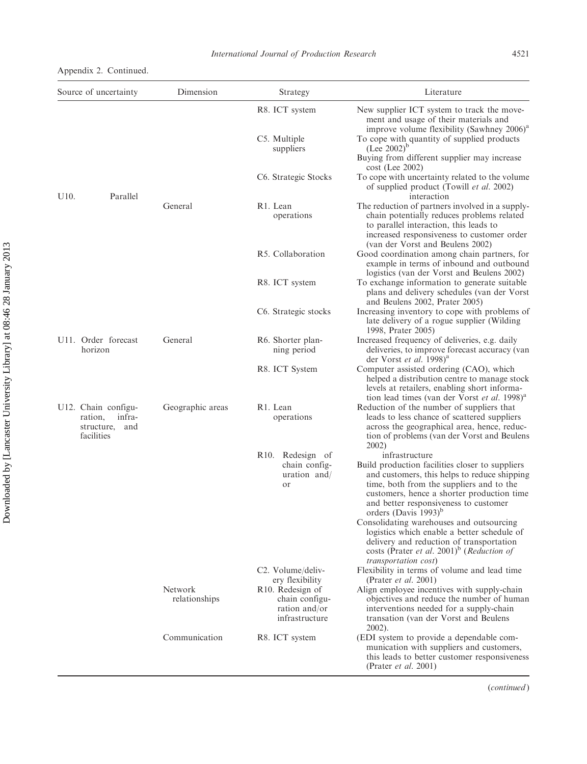Appendix 2. Continued.

| Source of uncertainty                                                    | Dimension                       | Strategy                                                                | Literature                                                                                                                                                                                                                                                                               |
|--------------------------------------------------------------------------|---------------------------------|-------------------------------------------------------------------------|------------------------------------------------------------------------------------------------------------------------------------------------------------------------------------------------------------------------------------------------------------------------------------------|
|                                                                          |                                 | R8. ICT system                                                          | New supplier ICT system to track the move-<br>ment and usage of their materials and<br>improve volume flexibility (Sawhney 2006) <sup>a</sup>                                                                                                                                            |
| U10.<br>Parallel                                                         |                                 | C5. Multiple<br>suppliers                                               | To cope with quantity of supplied products<br>(Lee 2002) <sup>b</sup><br>Buying from different supplier may increase                                                                                                                                                                     |
|                                                                          |                                 | C6. Strategic Stocks                                                    | $cost$ (Lee 2002)<br>To cope with uncertainty related to the volume<br>of supplied product (Towill et al. 2002)<br>interaction                                                                                                                                                           |
|                                                                          | General                         | R1. Lean<br>operations                                                  | The reduction of partners involved in a supply-<br>chain potentially reduces problems related<br>to parallel interaction, this leads to<br>increased responsiveness to customer order<br>(van der Vorst and Beulens 2002)                                                                |
|                                                                          |                                 | R5. Collaboration                                                       | Good coordination among chain partners, for<br>example in terms of inbound and outbound<br>logistics (van der Vorst and Beulens 2002)                                                                                                                                                    |
|                                                                          |                                 | R8. ICT system                                                          | To exchange information to generate suitable<br>plans and delivery schedules (van der Vorst<br>and Beulens 2002, Prater 2005)                                                                                                                                                            |
|                                                                          |                                 | C6. Strategic stocks                                                    | Increasing inventory to cope with problems of<br>late delivery of a rogue supplier (Wilding<br>1998, Prater 2005)                                                                                                                                                                        |
| U11. Order forecast<br>horizon                                           | General                         | R6. Shorter plan-<br>ning period                                        | Increased frequency of deliveries, e.g. daily<br>deliveries, to improve forecast accuracy (van<br>der Vorst et al. 1998) <sup>a</sup>                                                                                                                                                    |
|                                                                          |                                 | R8. ICT System                                                          | Computer assisted ordering (CAO), which<br>helped a distribution centre to manage stock<br>levels at retailers, enabling short informa-<br>tion lead times (van der Vorst et al. 1998) <sup>a</sup>                                                                                      |
| U12. Chain configu-<br>ration,<br>infra-<br>structure, and<br>facilities | Geographic areas                | R1. Lean<br>operations                                                  | Reduction of the number of suppliers that<br>leads to less chance of scattered suppliers<br>across the geographical area, hence, reduc-<br>tion of problems (van der Vorst and Beulens<br>2002)                                                                                          |
|                                                                          |                                 | Redesign of<br>R <sub>10</sub> .<br>chain config-<br>uration and/<br>or | infrastructure<br>Build production facilities closer to suppliers<br>and customers, this helps to reduce shipping<br>time, both from the suppliers and to the<br>customers, hence a shorter production time<br>and better responsiveness to customer<br>orders (Davis 1993) <sup>b</sup> |
|                                                                          |                                 |                                                                         | Consolidating warehouses and outsourcing<br>logistics which enable a better schedule of<br>delivery and reduction of transportation<br>costs (Prater et al. 2001) <sup>b</sup> (Reduction of                                                                                             |
|                                                                          |                                 | C2. Volume/deliv-<br>ery flexibility                                    | transportation cost)<br>Flexibility in terms of volume and lead time<br>(Prater <i>et al.</i> 2001)                                                                                                                                                                                      |
|                                                                          | <b>Network</b><br>relationships | R10. Redesign of<br>chain configu-<br>ration and/or<br>infrastructure   | Align employee incentives with supply-chain<br>objectives and reduce the number of human<br>interventions needed for a supply-chain<br>transation (van der Vorst and Beulens<br>$2002$ ).                                                                                                |
|                                                                          | Communication                   | R8. ICT system                                                          | (EDI system to provide a dependable com-<br>munication with suppliers and customers,<br>this leads to better customer responsiveness<br>(Prater <i>et al.</i> 2001)                                                                                                                      |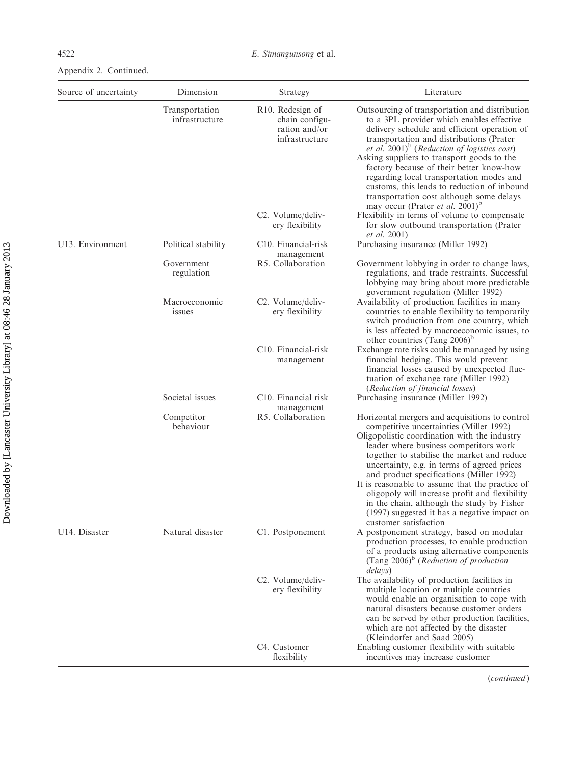Appendix 2. Continued.

| Source of uncertainty | Dimension                        | Strategy                                                              | Literature                                                                                                                                                                                                                                                                                                                                                                                                                                                                                                                                                |
|-----------------------|----------------------------------|-----------------------------------------------------------------------|-----------------------------------------------------------------------------------------------------------------------------------------------------------------------------------------------------------------------------------------------------------------------------------------------------------------------------------------------------------------------------------------------------------------------------------------------------------------------------------------------------------------------------------------------------------|
|                       | Transportation<br>infrastructure | R10. Redesign of<br>chain configu-<br>ration and/or<br>infrastructure | Outsourcing of transportation and distribution<br>to a 3PL provider which enables effective<br>delivery schedule and efficient operation of<br>transportation and distributions (Prater<br>et al. $2001$ <sup>b</sup> (Reduction of logistics cost)<br>Asking suppliers to transport goods to the<br>factory because of their better know-how<br>regarding local transportation modes and<br>customs, this leads to reduction of inbound<br>transportation cost although some delays                                                                      |
|                       |                                  | C2. Volume/deliv-<br>ery flexibility                                  | may occur (Prater <i>et al.</i> 2001) <sup>b</sup><br>Flexibility in terms of volume to compensate<br>for slow outbound transportation (Prater<br><i>et al.</i> 2001)                                                                                                                                                                                                                                                                                                                                                                                     |
| U13. Environment      | Political stability              | C10. Financial-risk<br>management                                     | Purchasing insurance (Miller 1992)                                                                                                                                                                                                                                                                                                                                                                                                                                                                                                                        |
|                       | Government<br>regulation         | R5. Collaboration                                                     | Government lobbying in order to change laws,<br>regulations, and trade restraints. Successful<br>lobbying may bring about more predictable<br>government regulation (Miller 1992)                                                                                                                                                                                                                                                                                                                                                                         |
|                       | Macroeconomic<br>issues          | C2. Volume/deliv-<br>ery flexibility                                  | Availability of production facilities in many<br>countries to enable flexibility to temporarily<br>switch production from one country, which<br>is less affected by macroeconomic issues, to<br>other countries (Tang 2006) <sup>b</sup>                                                                                                                                                                                                                                                                                                                  |
|                       |                                  | C10. Financial-risk<br>management                                     | Exchange rate risks could be managed by using<br>financial hedging. This would prevent<br>financial losses caused by unexpected fluc-<br>tuation of exchange rate (Miller 1992)<br>(Reduction of financial losses)                                                                                                                                                                                                                                                                                                                                        |
|                       | Societal issues                  | C10. Financial risk<br>management                                     | Purchasing insurance (Miller 1992)                                                                                                                                                                                                                                                                                                                                                                                                                                                                                                                        |
|                       | Competitor<br>behaviour          | R5. Collaboration                                                     | Horizontal mergers and acquisitions to control<br>competitive uncertainties (Miller 1992)<br>Oligopolistic coordination with the industry<br>leader where business competitors work<br>together to stabilise the market and reduce<br>uncertainty, e.g. in terms of agreed prices<br>and product specifications (Miller 1992)<br>It is reasonable to assume that the practice of<br>oligopoly will increase profit and flexibility<br>in the chain, although the study by Fisher<br>(1997) suggested it has a negative impact on<br>customer satisfaction |
| U14. Disaster         | Natural disaster                 | C1. Postponement                                                      | A postponement strategy, based on modular<br>production processes, to enable production<br>of a products using alternative components<br>(Tang $2006$ <sup>b</sup> ( <i>Reduction of production</i><br>delays)                                                                                                                                                                                                                                                                                                                                            |
|                       |                                  | C2. Volume/deliv-<br>ery flexibility                                  | The availability of production facilities in<br>multiple location or multiple countries<br>would enable an organisation to cope with<br>natural disasters because customer orders<br>can be served by other production facilities,<br>which are not affected by the disaster<br>(Kleindorfer and Saad 2005)                                                                                                                                                                                                                                               |
|                       |                                  | C <sub>4</sub> . Customer<br>flexibility                              | Enabling customer flexibility with suitable<br>incentives may increase customer                                                                                                                                                                                                                                                                                                                                                                                                                                                                           |